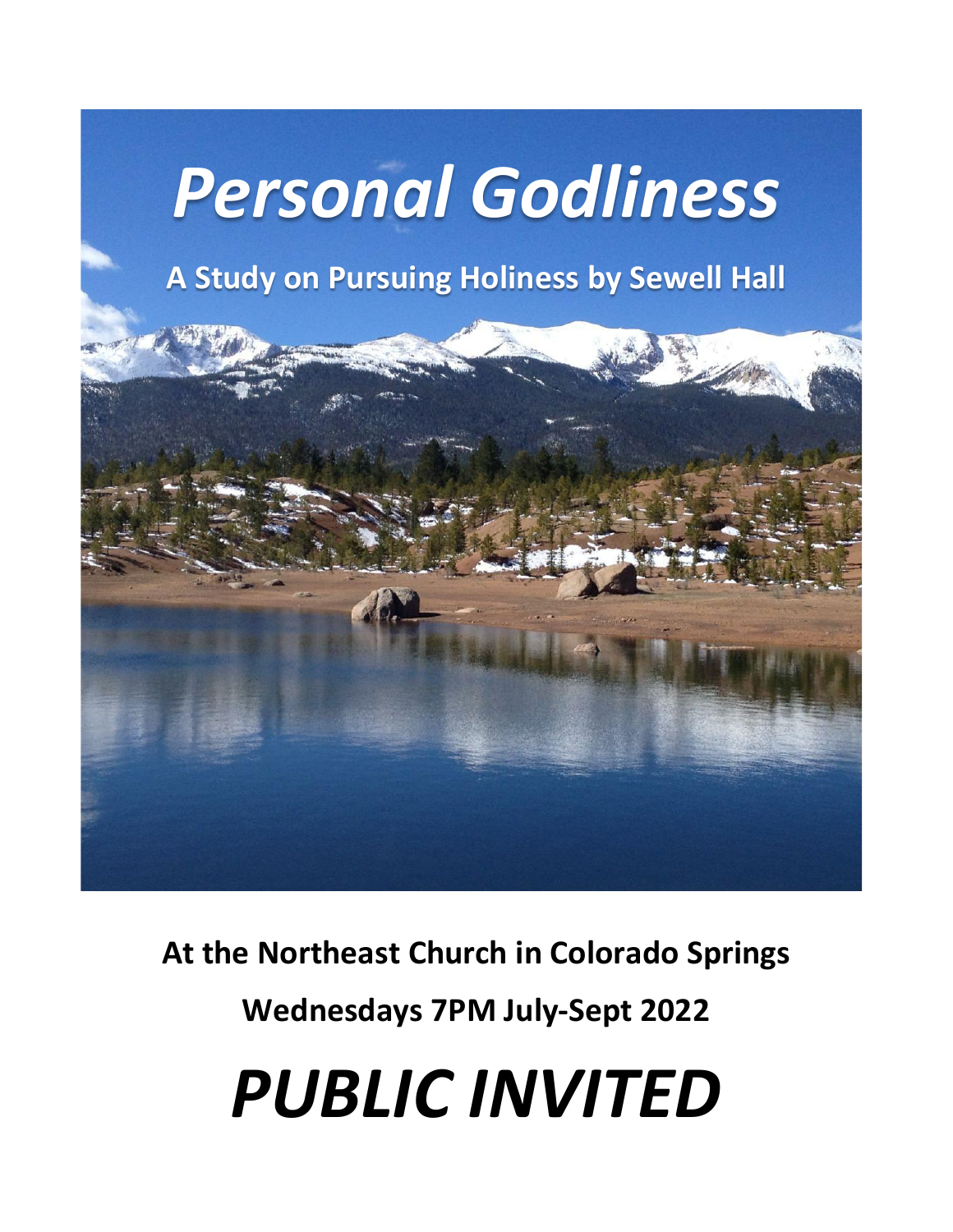# *Personal Godliness*

# **A Study on Pursuing Holiness by Sewell Hall**



**At the Northeast Church in Colorado Springs**

**Wednesdays 7PM July-Sept 2022** 

*PUBLIC INVITED*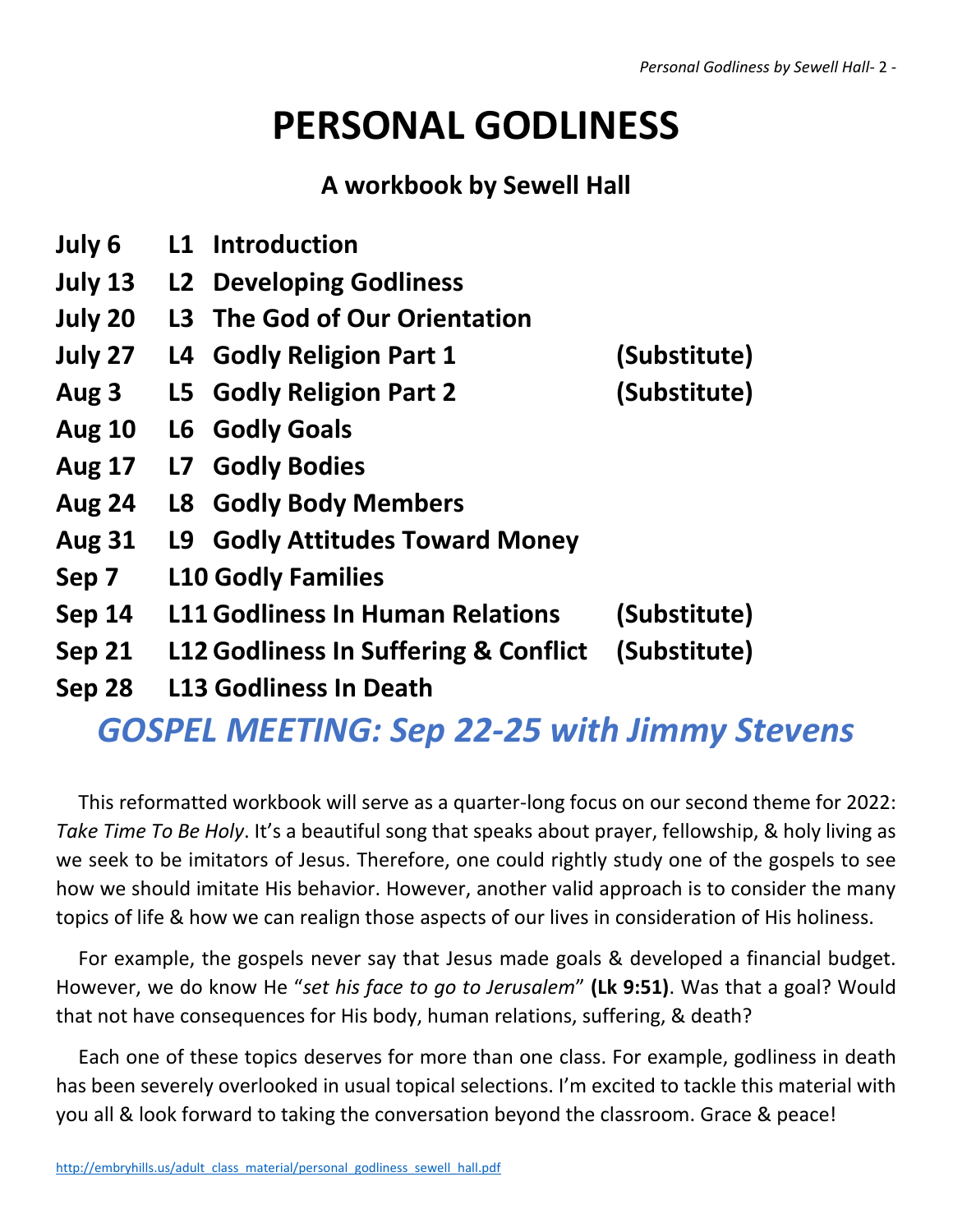# **PERSONAL GODLINESS**

# **A workbook by Sewell Hall**

- **July 6 L1 Introduction**
- **July 13 L2 Developing Godliness**
- **July 20 L3 The God of Our Orientation**
- **July 27 L4 Godly Religion Part 1 (Substitute)**
- **Aug 3 L5 Godly Religion Part 2 (Substitute)**
- **Aug 10 L6 Godly Goals**
- **Aug 17 L7 Godly Bodies**
- **Aug 24 L8 Godly Body Members**
- **Aug 31 L9 Godly Attitudes Toward Money**
- **Sep 7 L10 Godly Families**
- **Sep 14 L11 Godliness In Human Relations (Substitute)**
- **Sep 21 L12 Godliness In Suffering & Conflict (Substitute)**
	-
- **Sep 28 L13 Godliness In Death**

# *GOSPEL MEETING: Sep 22-25 with Jimmy Stevens*

This reformatted workbook will serve as a quarter-long focus on our second theme for 2022: *Take Time To Be Holy*. It's a beautiful song that speaks about prayer, fellowship, & holy living as we seek to be imitators of Jesus. Therefore, one could rightly study one of the gospels to see how we should imitate His behavior. However, another valid approach is to consider the many topics of life & how we can realign those aspects of our lives in consideration of His holiness.

For example, the gospels never say that Jesus made goals & developed a financial budget. However, we do know He "*set his face to go to Jerusalem*" **(Lk 9:51)**. Was that a goal? Would that not have consequences for His body, human relations, suffering, & death?

Each one of these topics deserves for more than one class. For example, godliness in death has been severely overlooked in usual topical selections. I'm excited to tackle this material with you all & look forward to taking the conversation beyond the classroom. Grace & peace!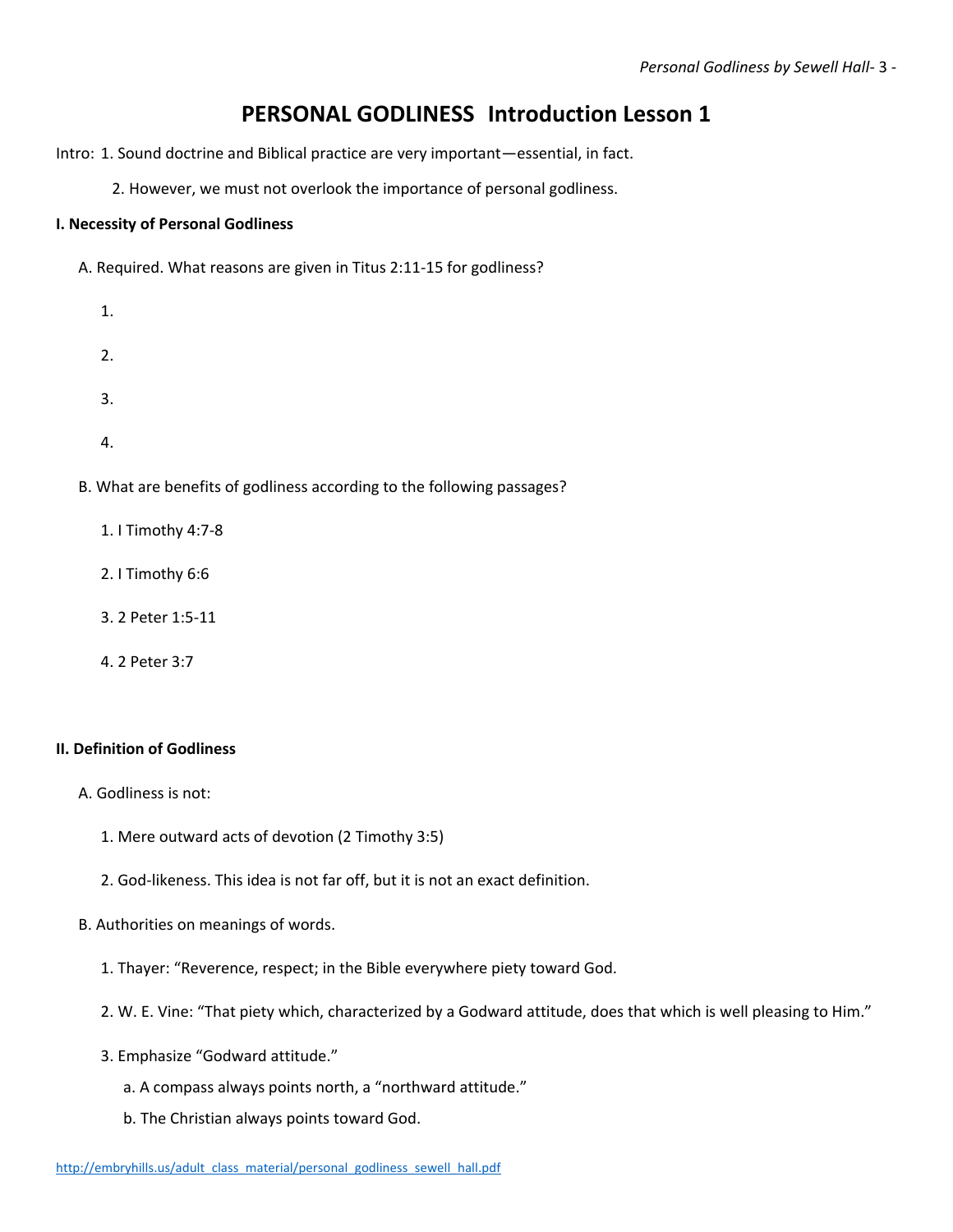# **PERSONAL GODLINESS Introduction Lesson 1**

Intro: 1. Sound doctrine and Biblical practice are very important—essential, in fact.

2. However, we must not overlook the importance of personal godliness.

#### **I. Necessity of Personal Godliness**

A. Required. What reasons are given in Titus 2:11-15 for godliness?

- 1.
- 2.
- 3.
- 
- 4.

B. What are benefits of godliness according to the following passages?

- 1. I Timothy 4:7-8
- 2. I Timothy 6:6
- 3. 2 Peter 1:5-11
- 4. 2 Peter 3:7

#### **II. Definition of Godliness**

- A. Godliness is not:
	- 1. Mere outward acts of devotion (2 Timothy 3:5)
	- 2. God-likeness. This idea is not far off, but it is not an exact definition.
- B. Authorities on meanings of words.
	- 1. Thayer: "Reverence, respect; in the Bible everywhere piety toward God.
	- 2. W. E. Vine: "That piety which, characterized by a Godward attitude, does that which is well pleasing to Him."
	- 3. Emphasize "Godward attitude."
		- a. A compass always points north, a "northward attitude."
		- b. The Christian always points toward God.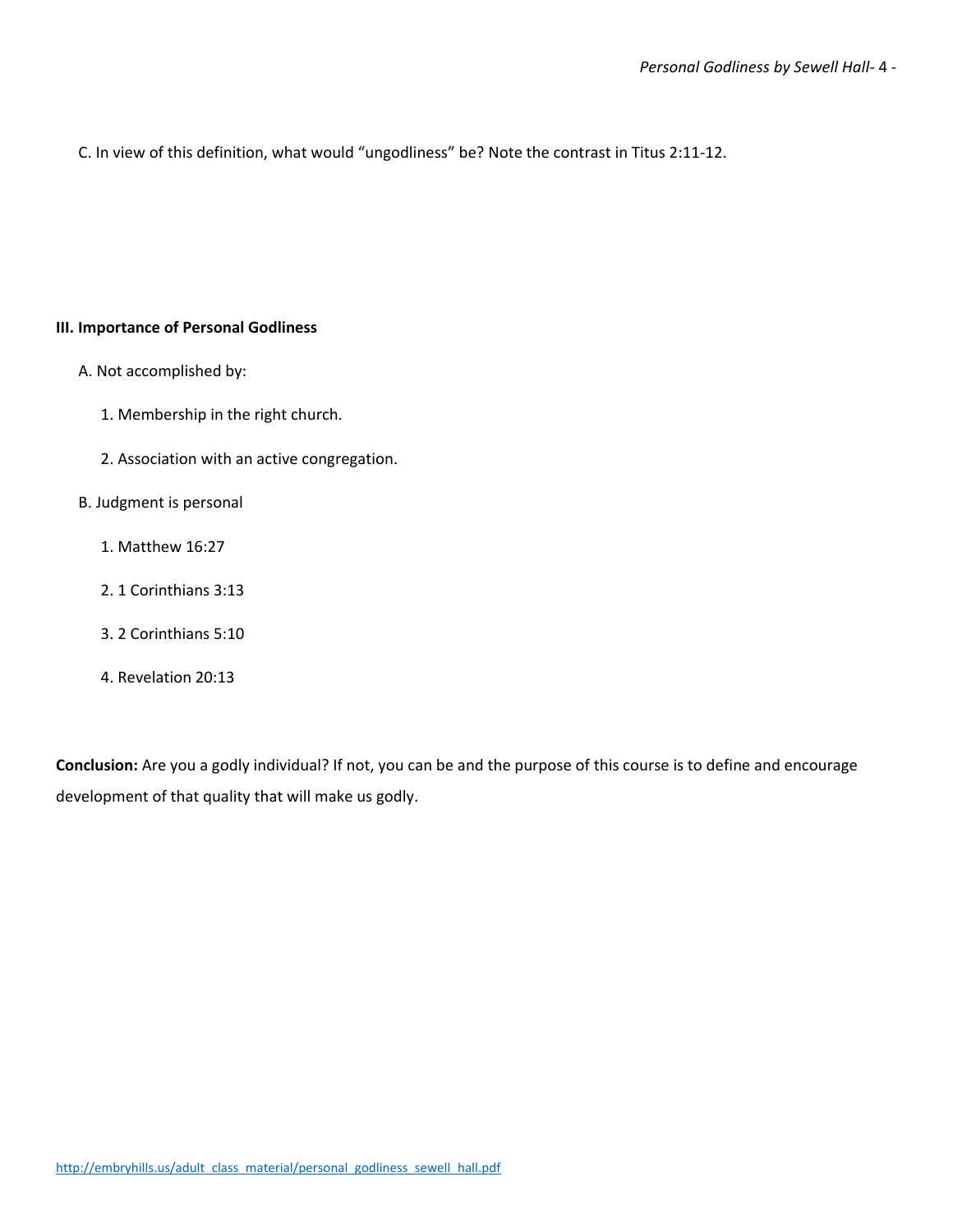C. In view of this definition, what would "ungodliness" be? Note the contrast in Titus 2:11-12.

#### **III. Importance of Personal Godliness**

- A. Not accomplished by:
	- 1. Membership in the right church.
	- 2. Association with an active congregation.

#### B. Judgment is personal

- 1. Matthew 16:27
- 2. 1 Corinthians 3:13
- 3. 2 Corinthians 5:10
- 4. Revelation 20:13

**Conclusion:** Are you a godly individual? If not, you can be and the purpose of this course is to define and encourage development of that quality that will make us godly.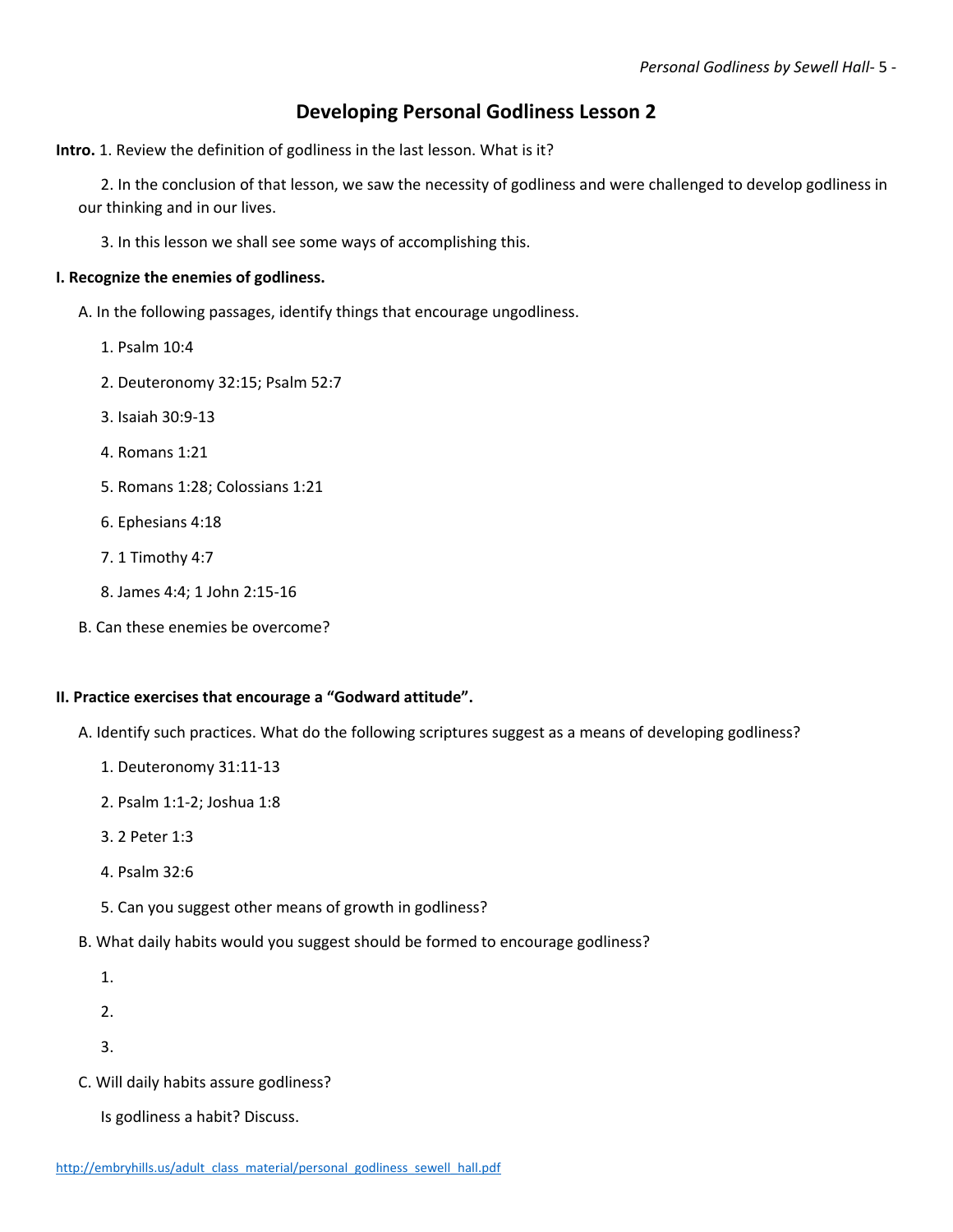### **Developing Personal Godliness Lesson 2**

**Intro.** 1. Review the definition of godliness in the last lesson. What is it?

2. In the conclusion of that lesson, we saw the necessity of godliness and were challenged to develop godliness in our thinking and in our lives.

3. In this lesson we shall see some ways of accomplishing this.

#### **I. Recognize the enemies of godliness.**

- A. In the following passages, identify things that encourage ungodliness.
	- 1. Psalm 10:4
	- 2. Deuteronomy 32:15; Psalm 52:7
	- 3. Isaiah 30:9-13
	- 4. Romans 1:21
	- 5. Romans 1:28; Colossians 1:21
	- 6. Ephesians 4:18
	- 7. 1 Timothy 4:7
	- 8. James 4:4; 1 John 2:15-16
- B. Can these enemies be overcome?

#### **II. Practice exercises that encourage a "Godward attitude".**

- A. Identify such practices. What do the following scriptures suggest as a means of developing godliness?
	- 1. Deuteronomy 31:11-13
	- 2. Psalm 1:1-2; Joshua 1:8
	- 3. 2 Peter 1:3
	- 4. Psalm 32:6
	- 5. Can you suggest other means of growth in godliness?
- B. What daily habits would you suggest should be formed to encourage godliness?
	- 1.
	- 2.
	- 3.
- C. Will daily habits assure godliness?
	- Is godliness a habit? Discuss.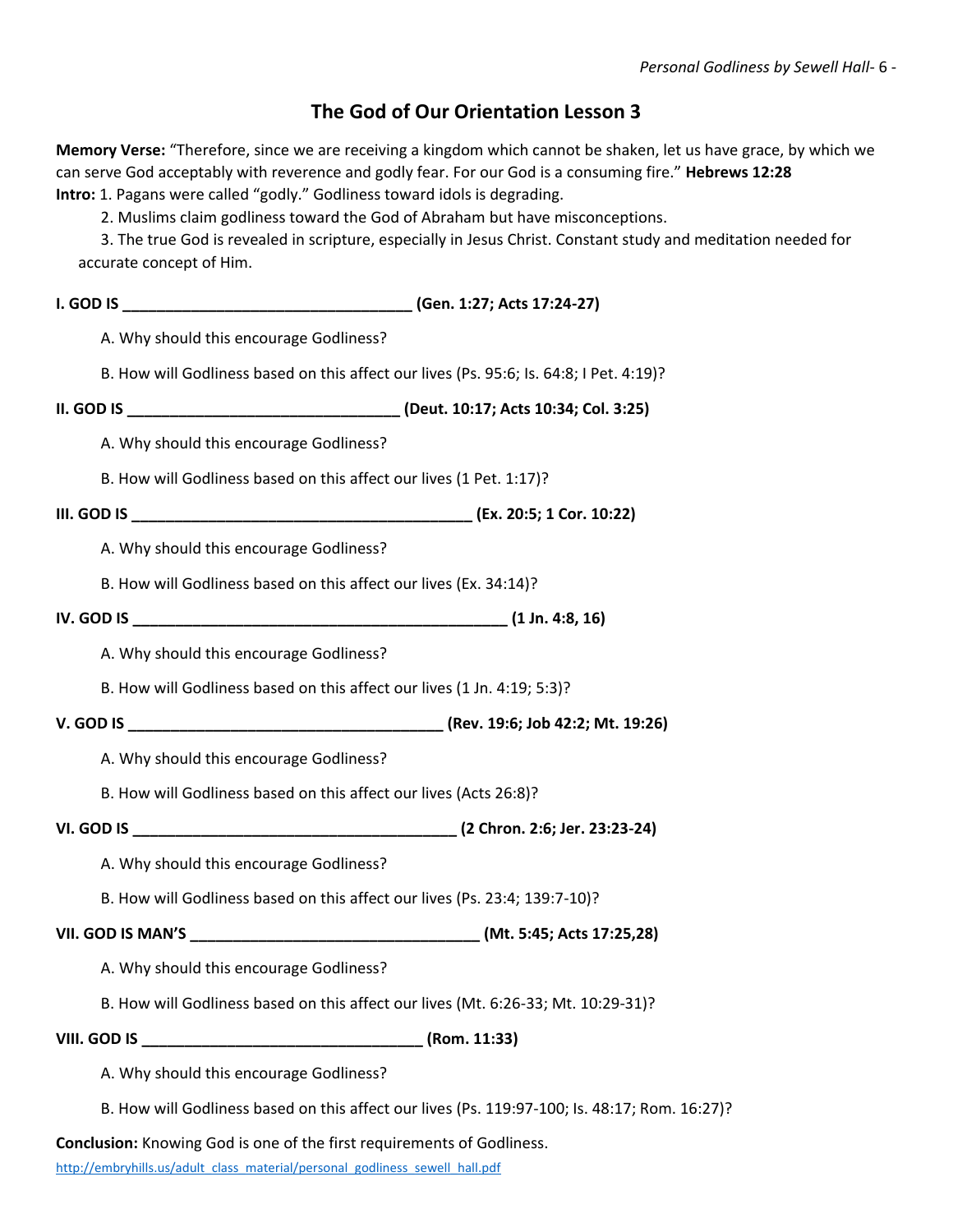### **The God of Our Orientation Lesson 3**

**Memory Verse:** "Therefore, since we are receiving a kingdom which cannot be shaken, let us have grace, by which we can serve God acceptably with reverence and godly fear. For our God is a consuming fire." **Hebrews 12:28 Intro:** 1. Pagans were called "godly." Godliness toward idols is degrading.

2. Muslims claim godliness toward the God of Abraham but have misconceptions.

3. The true God is revealed in scripture, especially in Jesus Christ. Constant study and meditation needed for accurate concept of Him.

| A. Why should this encourage Godliness?                                                 |                                                                                               |
|-----------------------------------------------------------------------------------------|-----------------------------------------------------------------------------------------------|
| B. How will Godliness based on this affect our lives (Ps. 95:6; Is. 64:8; I Pet. 4:19)? |                                                                                               |
|                                                                                         |                                                                                               |
| A. Why should this encourage Godliness?                                                 |                                                                                               |
| B. How will Godliness based on this affect our lives (1 Pet. 1:17)?                     |                                                                                               |
|                                                                                         |                                                                                               |
| A. Why should this encourage Godliness?                                                 |                                                                                               |
| B. How will Godliness based on this affect our lives (Ex. 34:14)?                       |                                                                                               |
|                                                                                         |                                                                                               |
| A. Why should this encourage Godliness?                                                 |                                                                                               |
| B. How will Godliness based on this affect our lives (1 Jn. 4:19; 5:3)?                 |                                                                                               |
|                                                                                         |                                                                                               |
| A. Why should this encourage Godliness?                                                 |                                                                                               |
| B. How will Godliness based on this affect our lives (Acts 26:8)?                       |                                                                                               |
|                                                                                         |                                                                                               |
| A. Why should this encourage Godliness?                                                 |                                                                                               |
| B. How will Godliness based on this affect our lives (Ps. 23:4; 139:7-10)?              |                                                                                               |
|                                                                                         |                                                                                               |
| A. Why should this encourage Godliness?                                                 |                                                                                               |
| B. How will Godliness based on this affect our lives (Mt. 6:26-33; Mt. 10:29-31)?       |                                                                                               |
|                                                                                         |                                                                                               |
| A. Why should this encourage Godliness?                                                 |                                                                                               |
|                                                                                         | B. How will Godliness based on this affect our lives (Ps. 119:97-100; Is. 48:17; Rom. 16:27)? |
|                                                                                         |                                                                                               |

**Conclusion:** Knowing God is one of the first requirements of Godliness.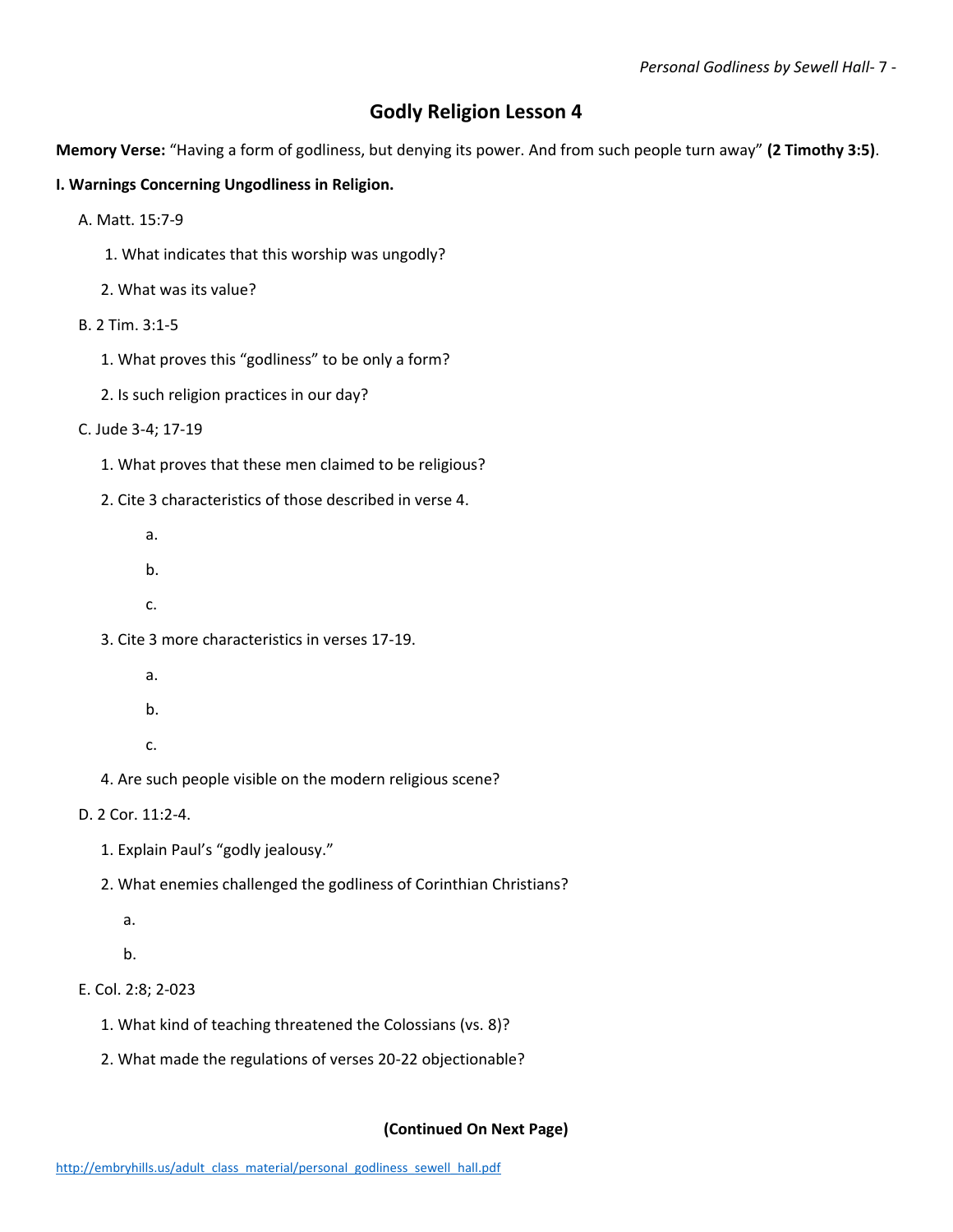## **Godly Religion Lesson 4**

**Memory Verse:** "Having a form of godliness, but denying its power. And from such people turn away" **(2 Timothy 3:5)**.

#### **I. Warnings Concerning Ungodliness in Religion.**

- A. Matt. 15:7-9
	- 1. What indicates that this worship was ungodly?
	- 2. What was its value?
- B. 2 Tim. 3:1-5
	- 1. What proves this "godliness" to be only a form?
	- 2. Is such religion practices in our day?

C. Jude 3-4; 17-19

- 1. What proves that these men claimed to be religious?
- 2. Cite 3 characteristics of those described in verse 4.
	- a.
	- b.
	- c.
- 3. Cite 3 more characteristics in verses 17-19.
	- a.
	- b.
	- c.
- 4. Are such people visible on the modern religious scene?

D. 2 Cor. 11:2-4.

- 1. Explain Paul's "godly jealousy."
- 2. What enemies challenged the godliness of Corinthian Christians?
	- a.

b.

E. Col. 2:8; 2-023

- 1. What kind of teaching threatened the Colossians (vs. 8)?
- 2. What made the regulations of verses 20-22 objectionable?

#### **(Continued On Next Page)**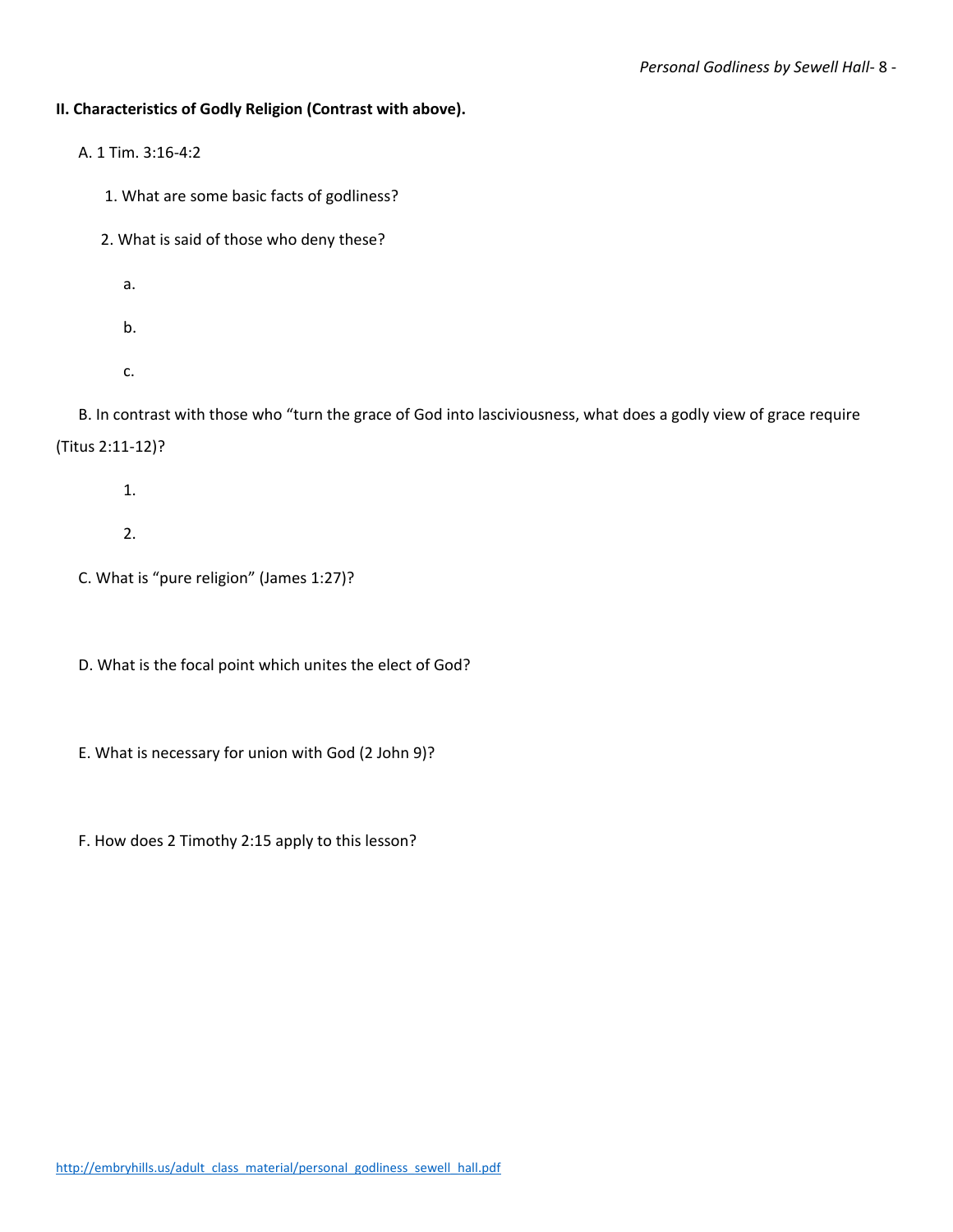#### **II. Characteristics of Godly Religion (Contrast with above).**

- A. 1 Tim. 3:16-4:2
	- 1. What are some basic facts of godliness?
	- 2. What is said of those who deny these?
		- a.
		-
		- b.
		- c.

B. In contrast with those who "turn the grace of God into lasciviousness, what does a godly view of grace require (Titus 2:11-12)?

- 1.
- 2.
- C. What is "pure religion" (James 1:27)?
- D. What is the focal point which unites the elect of God?
- E. What is necessary for union with God (2 John 9)?
- F. How does 2 Timothy 2:15 apply to this lesson?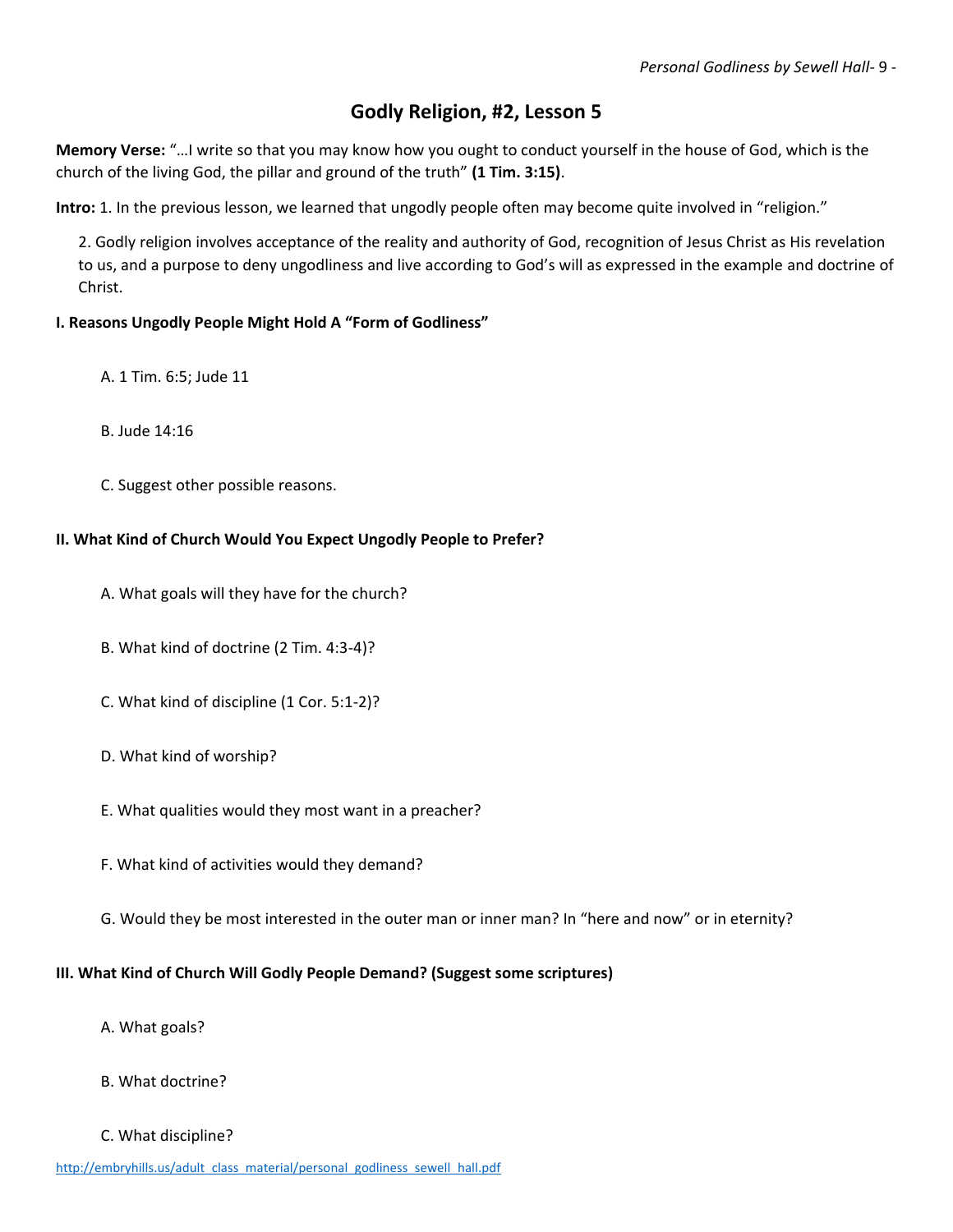# **Godly Religion, #2, Lesson 5**

**Memory Verse:** "…I write so that you may know how you ought to conduct yourself in the house of God, which is the church of the living God, the pillar and ground of the truth" **(1 Tim. 3:15)**.

**Intro:** 1. In the previous lesson, we learned that ungodly people often may become quite involved in "religion."

2. Godly religion involves acceptance of the reality and authority of God, recognition of Jesus Christ as His revelation to us, and a purpose to deny ungodliness and live according to God's will as expressed in the example and doctrine of Christ.

#### **I. Reasons Ungodly People Might Hold A "Form of Godliness"**

- A. 1 Tim. 6:5; Jude 11
- B. Jude 14:16
- C. Suggest other possible reasons.

#### **II. What Kind of Church Would You Expect Ungodly People to Prefer?**

- A. What goals will they have for the church?
- B. What kind of doctrine (2 Tim. 4:3-4)?
- C. What kind of discipline (1 Cor. 5:1-2)?
- D. What kind of worship?
- E. What qualities would they most want in a preacher?
- F. What kind of activities would they demand?
- G. Would they be most interested in the outer man or inner man? In "here and now" or in eternity?

#### **III. What Kind of Church Will Godly People Demand? (Suggest some scriptures)**

- A. What goals?
- B. What doctrine?
- C. What discipline?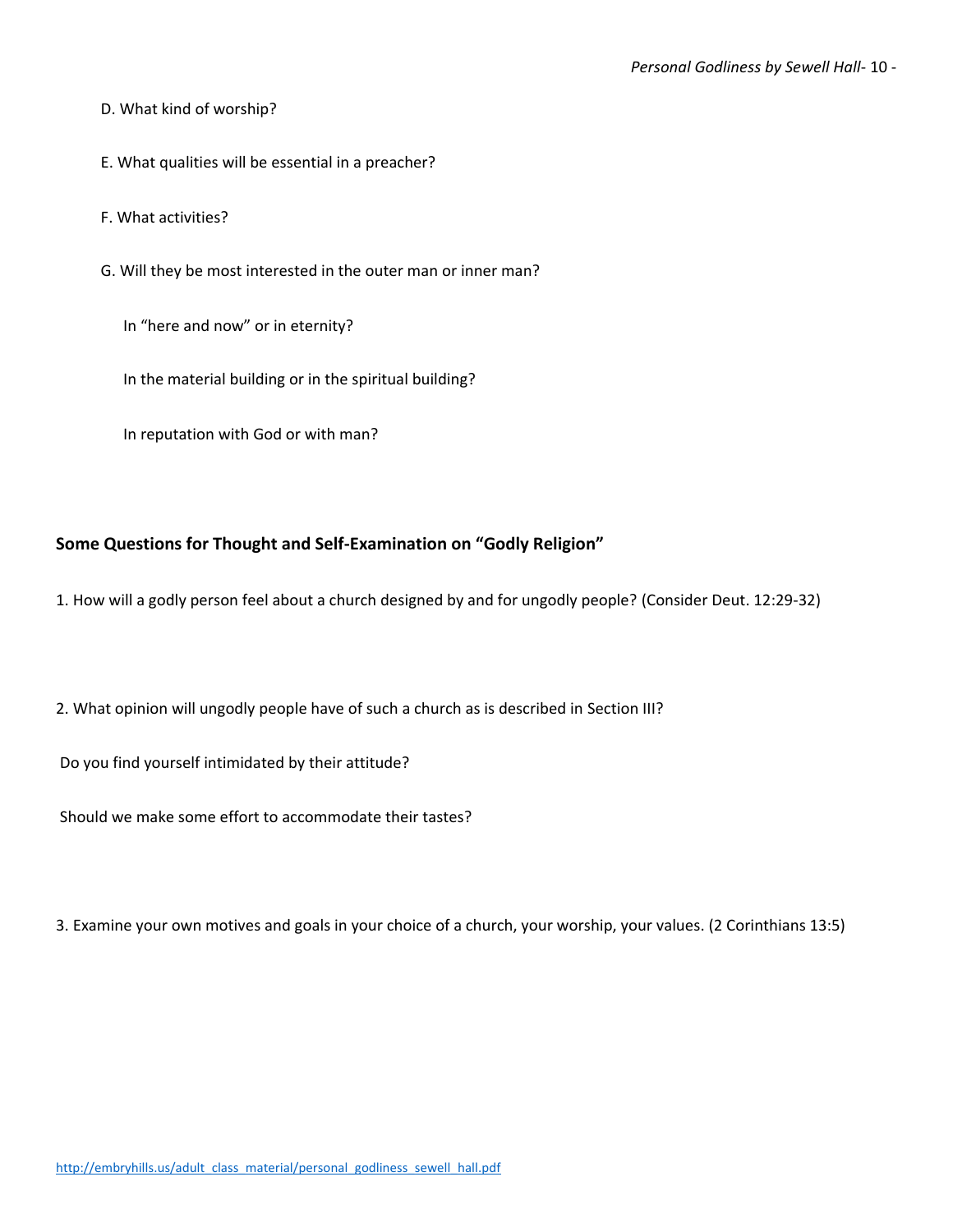- D. What kind of worship?
- E. What qualities will be essential in a preacher?
- F. What activities?
- G. Will they be most interested in the outer man or inner man?
	- In "here and now" or in eternity?
	- In the material building or in the spiritual building?
	- In reputation with God or with man?

#### **Some Questions for Thought and Self-Examination on "Godly Religion"**

- 1. How will a godly person feel about a church designed by and for ungodly people? (Consider Deut. 12:29-32)
- 2. What opinion will ungodly people have of such a church as is described in Section III?

Do you find yourself intimidated by their attitude?

Should we make some effort to accommodate their tastes?

3. Examine your own motives and goals in your choice of a church, your worship, your values. (2 Corinthians 13:5)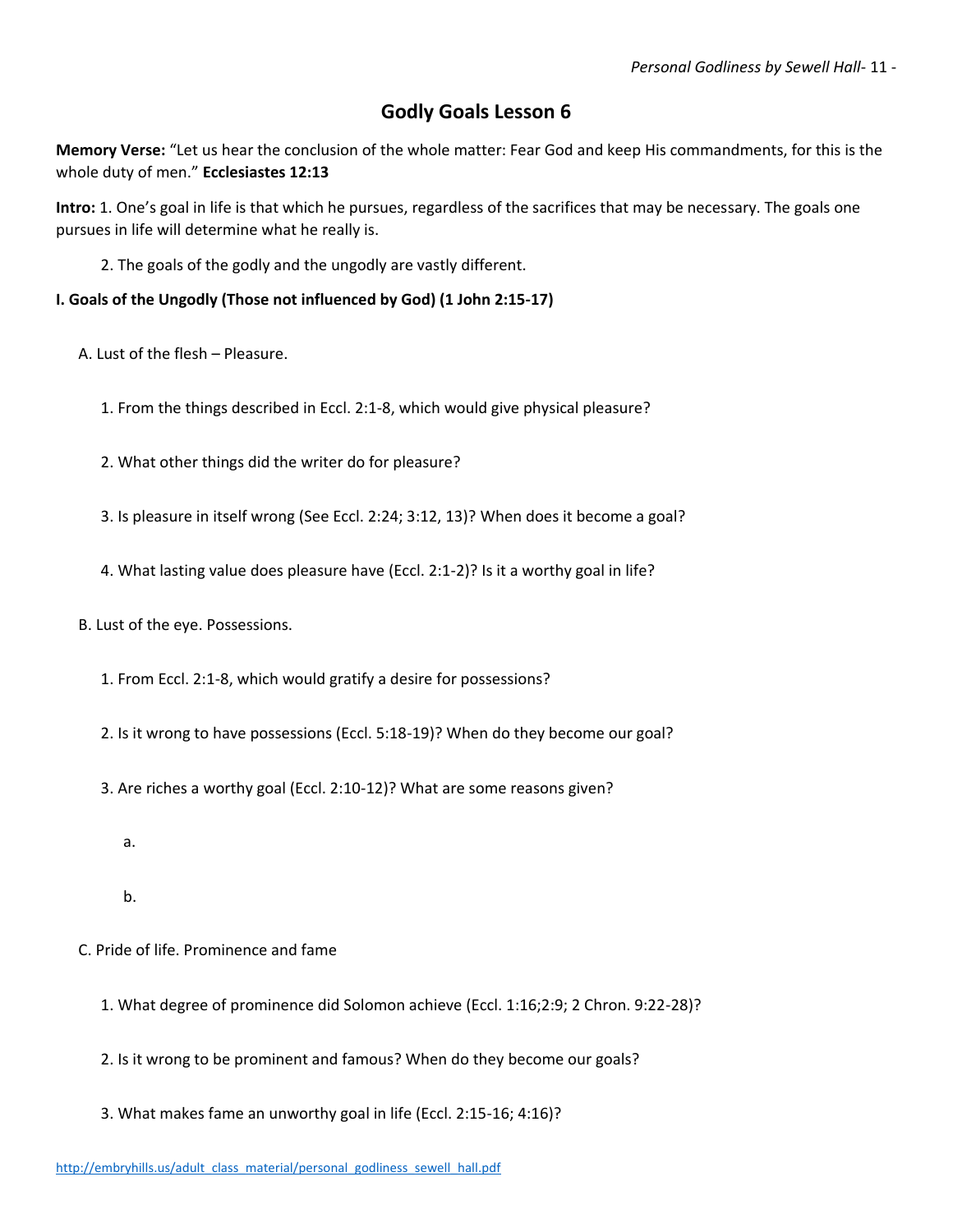# **Godly Goals Lesson 6**

**Memory Verse:** "Let us hear the conclusion of the whole matter: Fear God and keep His commandments, for this is the whole duty of men." **Ecclesiastes 12:13**

**Intro:** 1. One's goal in life is that which he pursues, regardless of the sacrifices that may be necessary. The goals one pursues in life will determine what he really is.

2. The goals of the godly and the ungodly are vastly different.

**I. Goals of the Ungodly (Those not influenced by God) (1 John 2:15-17)**

A. Lust of the flesh – Pleasure.

1. From the things described in Eccl. 2:1-8, which would give physical pleasure?

2. What other things did the writer do for pleasure?

3. Is pleasure in itself wrong (See Eccl. 2:24; 3:12, 13)? When does it become a goal?

4. What lasting value does pleasure have (Eccl. 2:1-2)? Is it a worthy goal in life?

B. Lust of the eye. Possessions.

1. From Eccl. 2:1-8, which would gratify a desire for possessions?

2. Is it wrong to have possessions (Eccl. 5:18-19)? When do they become our goal?

3. Are riches a worthy goal (Eccl. 2:10-12)? What are some reasons given?

a.

b.

- C. Pride of life. Prominence and fame
	- 1. What degree of prominence did Solomon achieve (Eccl. 1:16;2:9; 2 Chron. 9:22-28)?
	- 2. Is it wrong to be prominent and famous? When do they become our goals?

3. What makes fame an unworthy goal in life (Eccl. 2:15-16; 4:16)?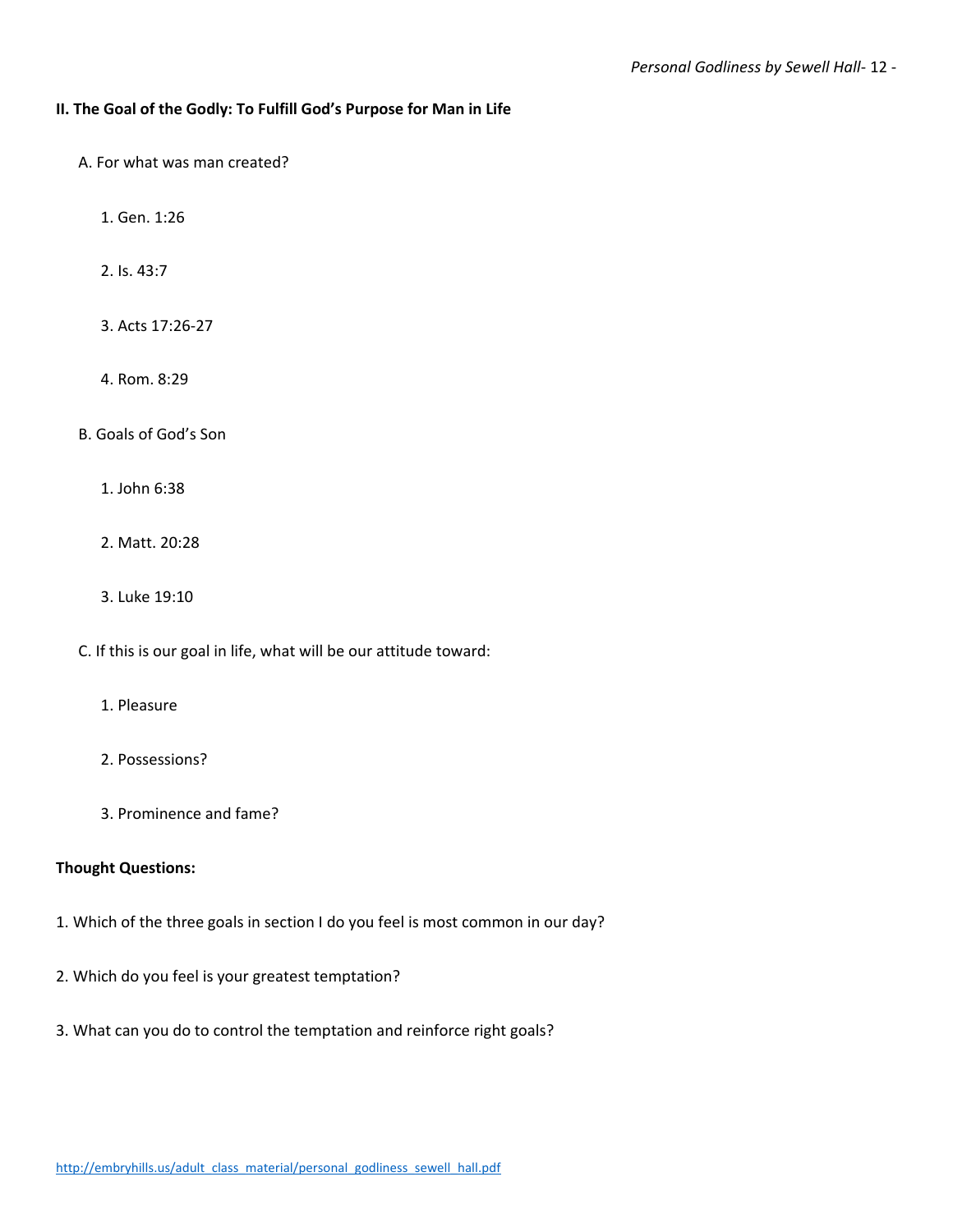#### **II. The Goal of the Godly: To Fulfill God's Purpose for Man in Life**

- A. For what was man created?
	- 1. Gen. 1:26
	- 2. Is. 43:7
	- 3. Acts 17:26-27
	- 4. Rom. 8:29
- B. Goals of God's Son
	- 1. John 6:38
	- 2. Matt. 20:28
	- 3. Luke 19:10
- C. If this is our goal in life, what will be our attitude toward:
	- 1. Pleasure
	- 2. Possessions?
	- 3. Prominence and fame?

#### **Thought Questions:**

- 1. Which of the three goals in section I do you feel is most common in our day?
- 2. Which do you feel is your greatest temptation?
- 3. What can you do to control the temptation and reinforce right goals?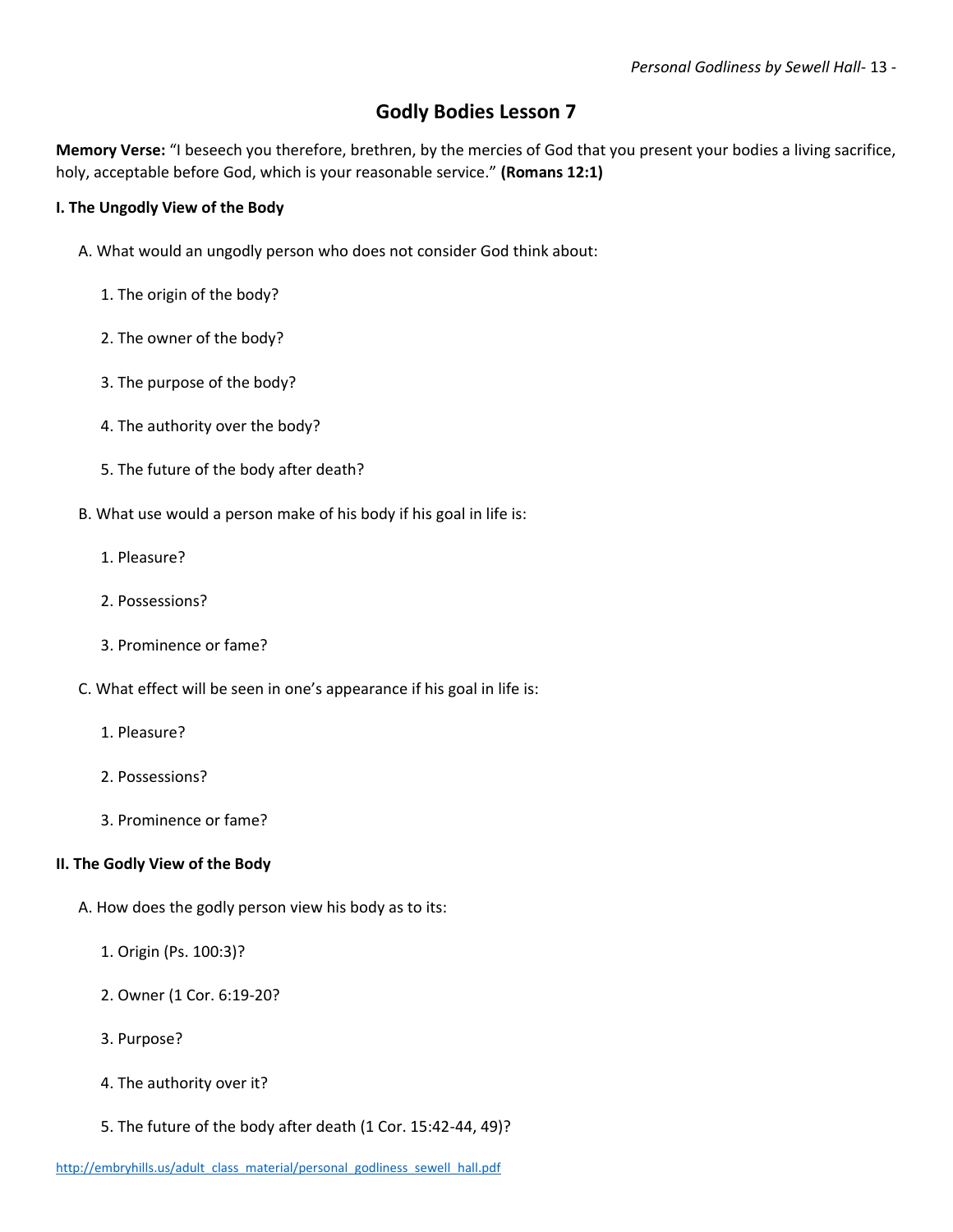# **Godly Bodies Lesson 7**

**Memory Verse:** "I beseech you therefore, brethren, by the mercies of God that you present your bodies a living sacrifice, holy, acceptable before God, which is your reasonable service." **(Romans 12:1)**

#### **I. The Ungodly View of the Body**

- A. What would an ungodly person who does not consider God think about:
	- 1. The origin of the body?
	- 2. The owner of the body?
	- 3. The purpose of the body?
	- 4. The authority over the body?
	- 5. The future of the body after death?
- B. What use would a person make of his body if his goal in life is:
	- 1. Pleasure?
	- 2. Possessions?
	- 3. Prominence or fame?
- C. What effect will be seen in one's appearance if his goal in life is:
	- 1. Pleasure?
	- 2. Possessions?
	- 3. Prominence or fame?

#### **II. The Godly View of the Body**

- A. How does the godly person view his body as to its:
	- 1. Origin (Ps. 100:3)?
	- 2. Owner (1 Cor. 6:19-20?
	- 3. Purpose?
	- 4. The authority over it?
	- 5. The future of the body after death (1 Cor. 15:42-44, 49)?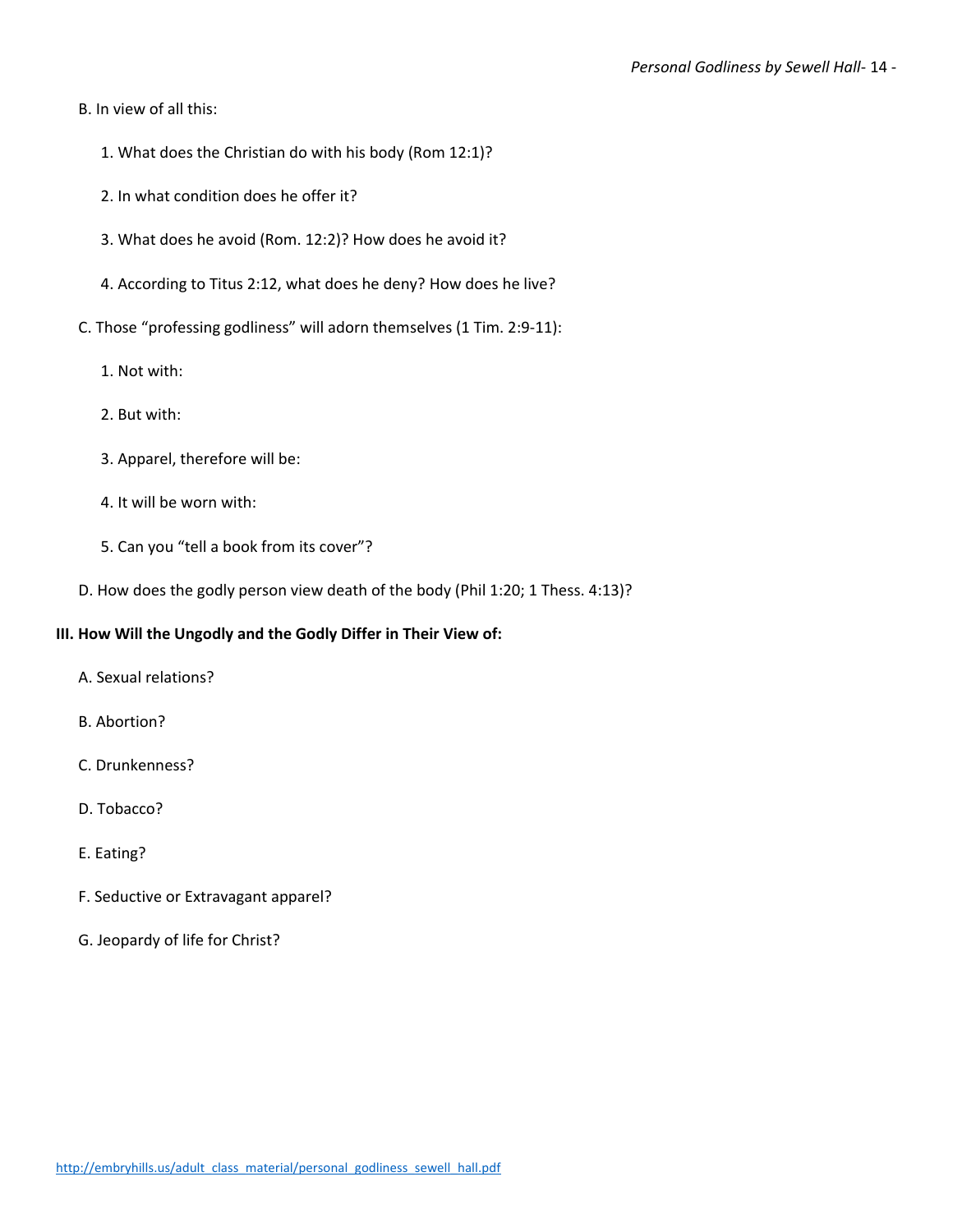- B. In view of all this:
	- 1. What does the Christian do with his body (Rom 12:1)?
	- 2. In what condition does he offer it?
	- 3. What does he avoid (Rom. 12:2)? How does he avoid it?
	- 4. According to Titus 2:12, what does he deny? How does he live?
- C. Those "professing godliness" will adorn themselves (1 Tim. 2:9-11):
	- 1. Not with:
	- 2. But with:
	- 3. Apparel, therefore will be:
	- 4. It will be worn with:
	- 5. Can you "tell a book from its cover"?
- D. How does the godly person view death of the body (Phil 1:20; 1 Thess. 4:13)?

#### **III. How Will the Ungodly and the Godly Differ in Their View of:**

- A. Sexual relations?
- B. Abortion?
- C. Drunkenness?
- D. Tobacco?
- E. Eating?
- F. Seductive or Extravagant apparel?
- G. Jeopardy of life for Christ?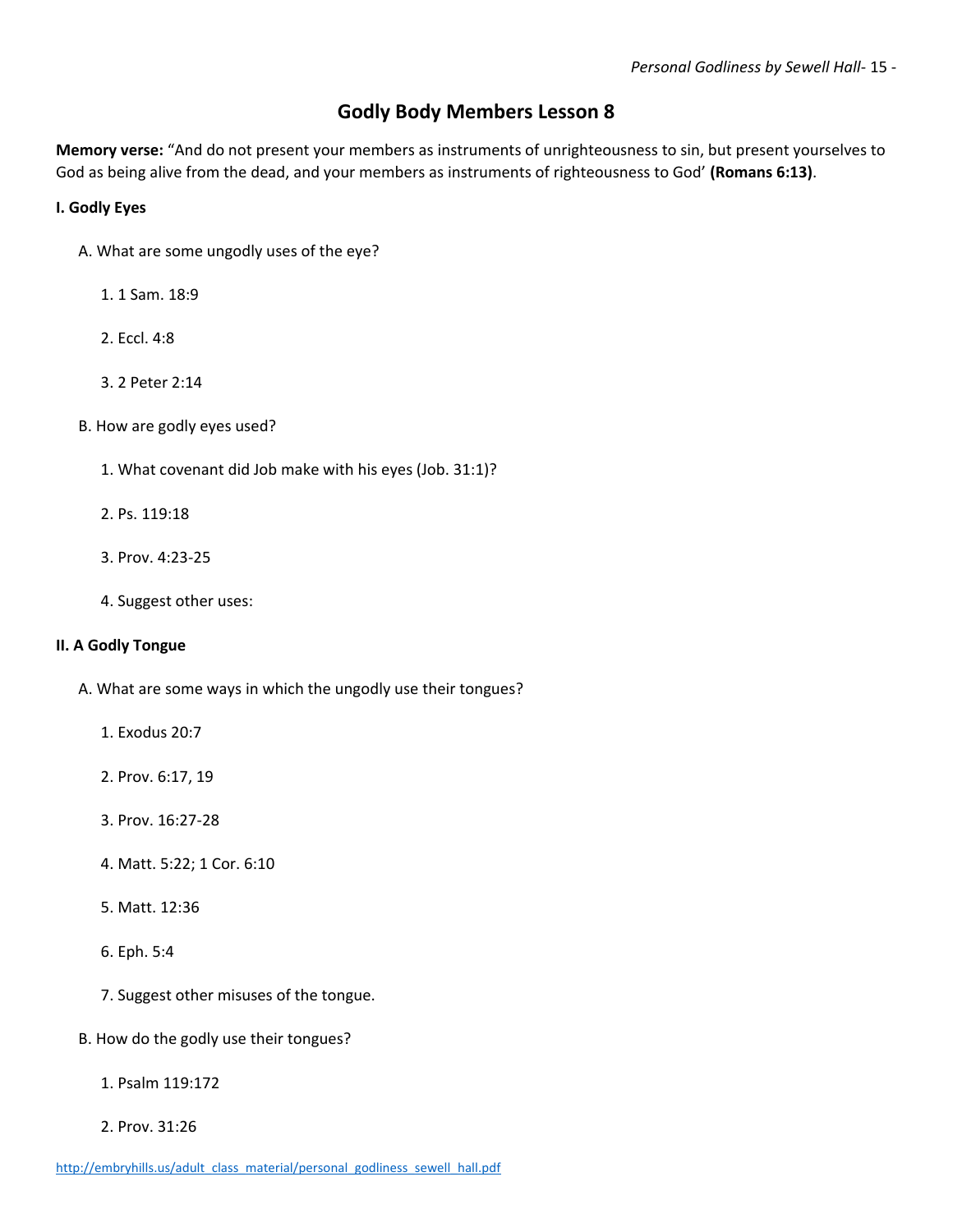### **Godly Body Members Lesson 8**

**Memory verse:** "And do not present your members as instruments of unrighteousness to sin, but present yourselves to God as being alive from the dead, and your members as instruments of righteousness to God' **(Romans 6:13)**.

#### **I. Godly Eyes**

- A. What are some ungodly uses of the eye?
	- 1. 1 Sam. 18:9
	- 2. Eccl. 4:8
	- 3. 2 Peter 2:14
- B. How are godly eyes used?
	- 1. What covenant did Job make with his eyes (Job. 31:1)?
	- 2. Ps. 119:18
	- 3. Prov. 4:23-25
	- 4. Suggest other uses:

#### **II. A Godly Tongue**

- A. What are some ways in which the ungodly use their tongues?
	- 1. Exodus 20:7
	- 2. Prov. 6:17, 19
	- 3. Prov. 16:27-28
	- 4. Matt. 5:22; 1 Cor. 6:10
	- 5. Matt. 12:36
	- 6. Eph. 5:4
	- 7. Suggest other misuses of the tongue.
- B. How do the godly use their tongues?
	- 1. Psalm 119:172
	- 2. Prov. 31:26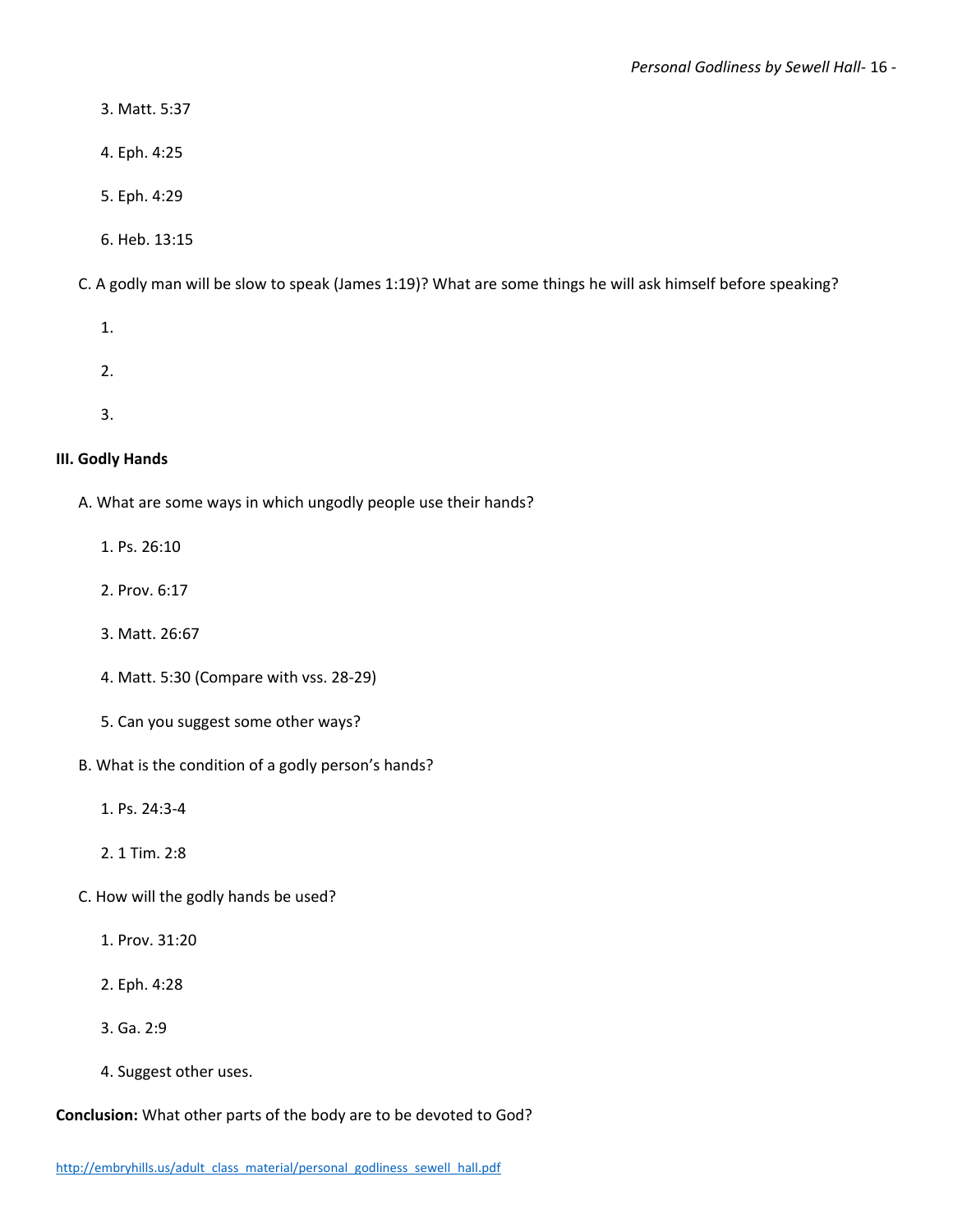- 3. Matt. 5:37
- 4. Eph. 4:25
- 5. Eph. 4:29
- 6. Heb. 13:15

C. A godly man will be slow to speak (James 1:19)? What are some things he will ask himself before speaking?

- 1.
- 2.
- 3.

#### **III. Godly Hands**

- A. What are some ways in which ungodly people use their hands?
	- 1. Ps. 26:10
	- 2. Prov. 6:17
	- 3. Matt. 26:67
	- 4. Matt. 5:30 (Compare with vss. 28-29)
	- 5. Can you suggest some other ways?
- B. What is the condition of a godly person's hands?
	- 1. Ps. 24:3-4
	- 2. 1 Tim. 2:8
- C. How will the godly hands be used?
	- 1. Prov. 31:20
	- 2. Eph. 4:28
	- 3. Ga. 2:9
	- 4. Suggest other uses.

**Conclusion:** What other parts of the body are to be devoted to God?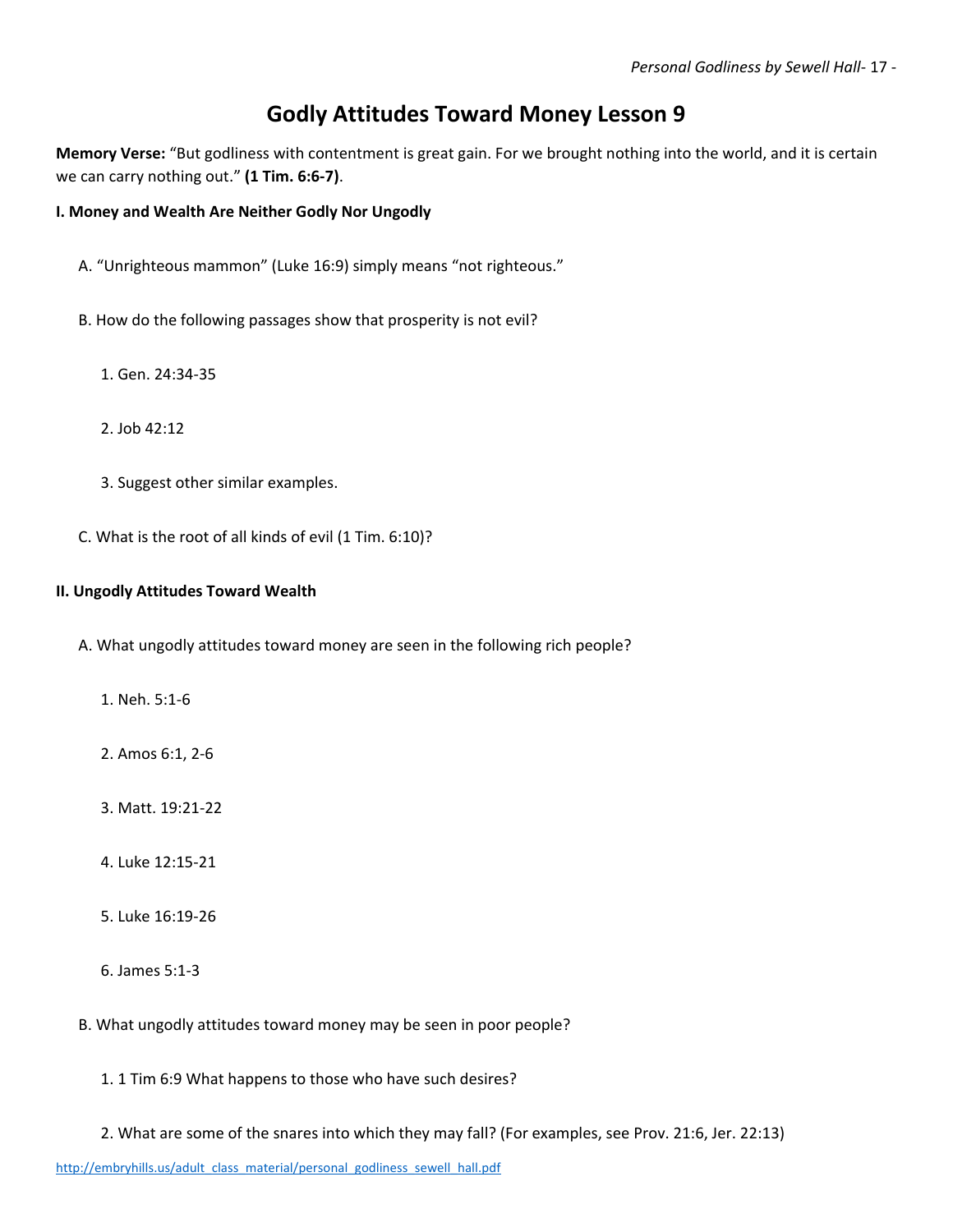# **Godly Attitudes Toward Money Lesson 9**

**Memory Verse:** "But godliness with contentment is great gain. For we brought nothing into the world, and it is certain we can carry nothing out." **(1 Tim. 6:6-7)**.

#### **I. Money and Wealth Are Neither Godly Nor Ungodly**

- A. "Unrighteous mammon" (Luke 16:9) simply means "not righteous."
- B. How do the following passages show that prosperity is not evil?
	- 1. Gen. 24:34-35
	- 2. Job 42:12
	- 3. Suggest other similar examples.
- C. What is the root of all kinds of evil (1 Tim. 6:10)?

#### **II. Ungodly Attitudes Toward Wealth**

A. What ungodly attitudes toward money are seen in the following rich people?

- 1. Neh. 5:1-6
- 2. Amos 6:1, 2-6
- 3. Matt. 19:21-22
- 4. Luke 12:15-21
- 5. Luke 16:19-26
- 6. James 5:1-3
- B. What ungodly attitudes toward money may be seen in poor people?
	- 1. 1 Tim 6:9 What happens to those who have such desires?
	- 2. What are some of the snares into which they may fall? (For examples, see Prov. 21:6, Jer. 22:13)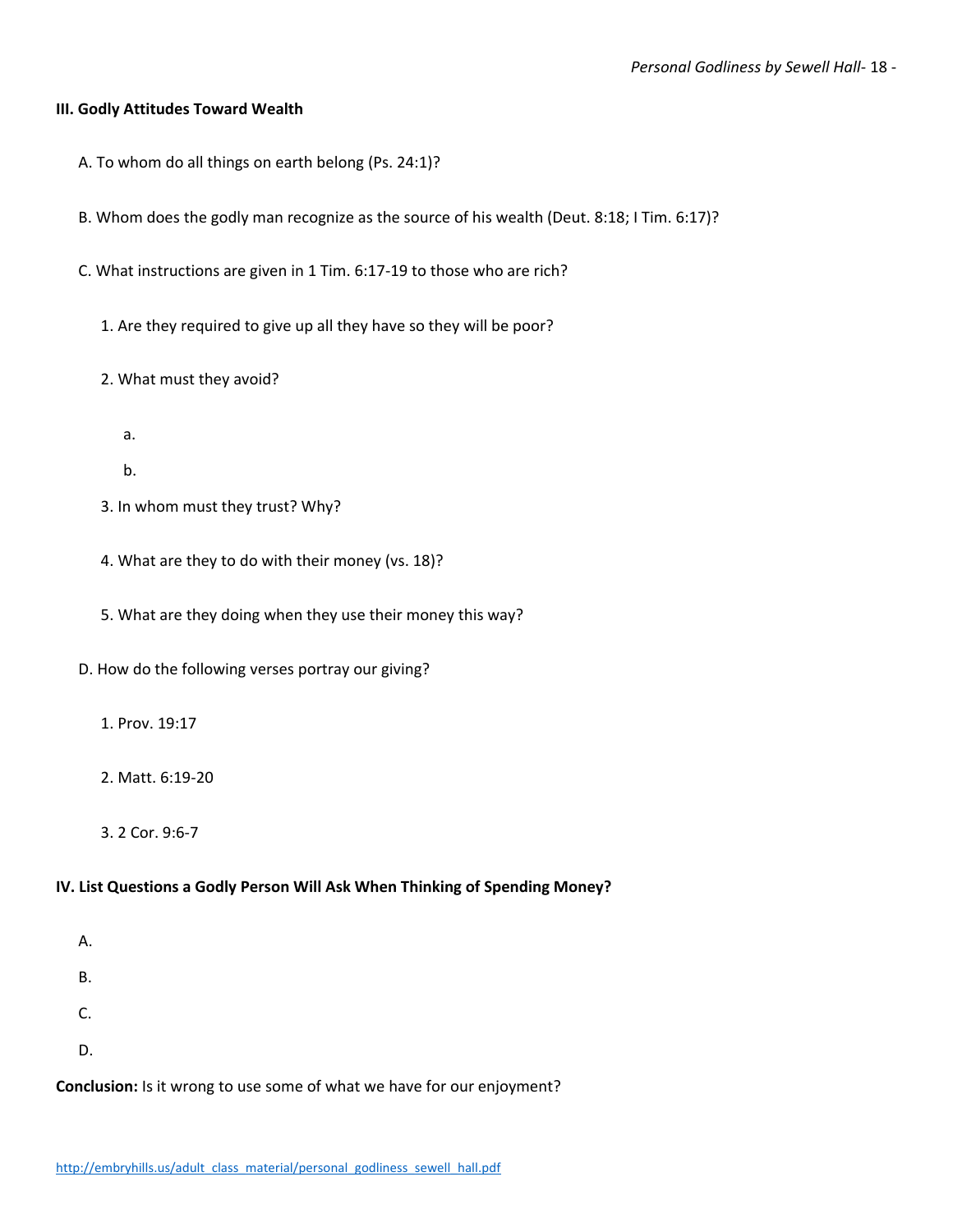#### **III. Godly Attitudes Toward Wealth**

- A. To whom do all things on earth belong (Ps. 24:1)?
- B. Whom does the godly man recognize as the source of his wealth (Deut. 8:18; I Tim. 6:17)?
- C. What instructions are given in 1 Tim. 6:17-19 to those who are rich?
	- 1. Are they required to give up all they have so they will be poor?
	- 2. What must they avoid?
		- a.
		- b.
	- 3. In whom must they trust? Why?
	- 4. What are they to do with their money (vs. 18)?
	- 5. What are they doing when they use their money this way?
- D. How do the following verses portray our giving?
	- 1. Prov. 19:17
	- 2. Matt. 6:19-20
	- 3. 2 Cor. 9:6-7

#### **IV. List Questions a Godly Person Will Ask When Thinking of Spending Money?**

- A.
- B.
- C.
- 
- D.

**Conclusion:** Is it wrong to use some of what we have for our enjoyment?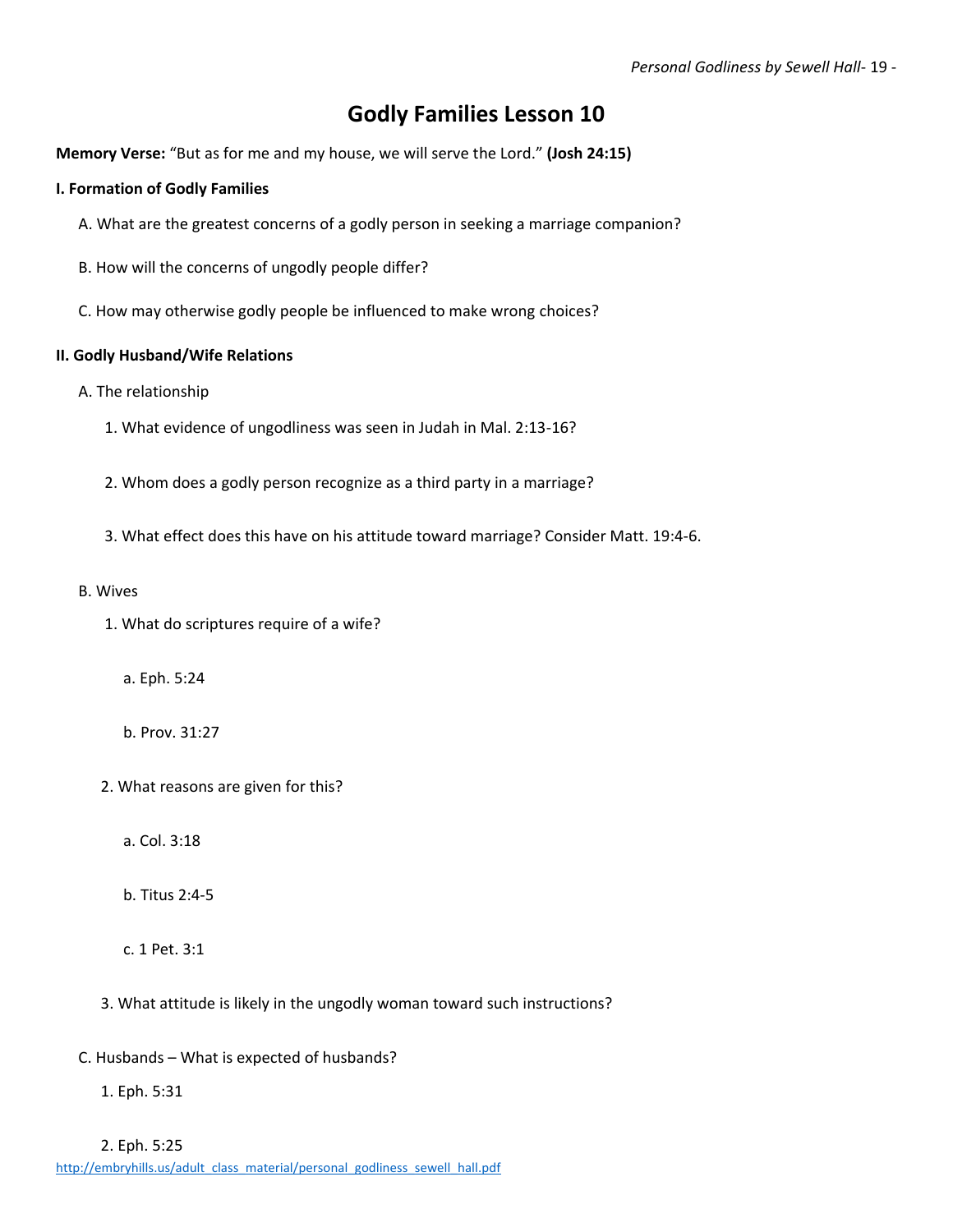# **Godly Families Lesson 10**

**Memory Verse:** "But as for me and my house, we will serve the Lord." **(Josh 24:15)**

#### **I. Formation of Godly Families**

- A. What are the greatest concerns of a godly person in seeking a marriage companion?
- B. How will the concerns of ungodly people differ?
- C. How may otherwise godly people be influenced to make wrong choices?

#### **II. Godly Husband/Wife Relations**

- A. The relationship
	- 1. What evidence of ungodliness was seen in Judah in Mal. 2:13-16?
	- 2. Whom does a godly person recognize as a third party in a marriage?
	- 3. What effect does this have on his attitude toward marriage? Consider Matt. 19:4-6.
- B. Wives
	- 1. What do scriptures require of a wife?
		- a. Eph. 5:24
		- b. Prov. 31:27
	- 2. What reasons are given for this?
		- a. Col. 3:18
		- b. Titus 2:4-5
		- c. 1 Pet. 3:1
	- 3. What attitude is likely in the ungodly woman toward such instructions?
- C. Husbands What is expected of husbands?
	- 1. Eph. 5:31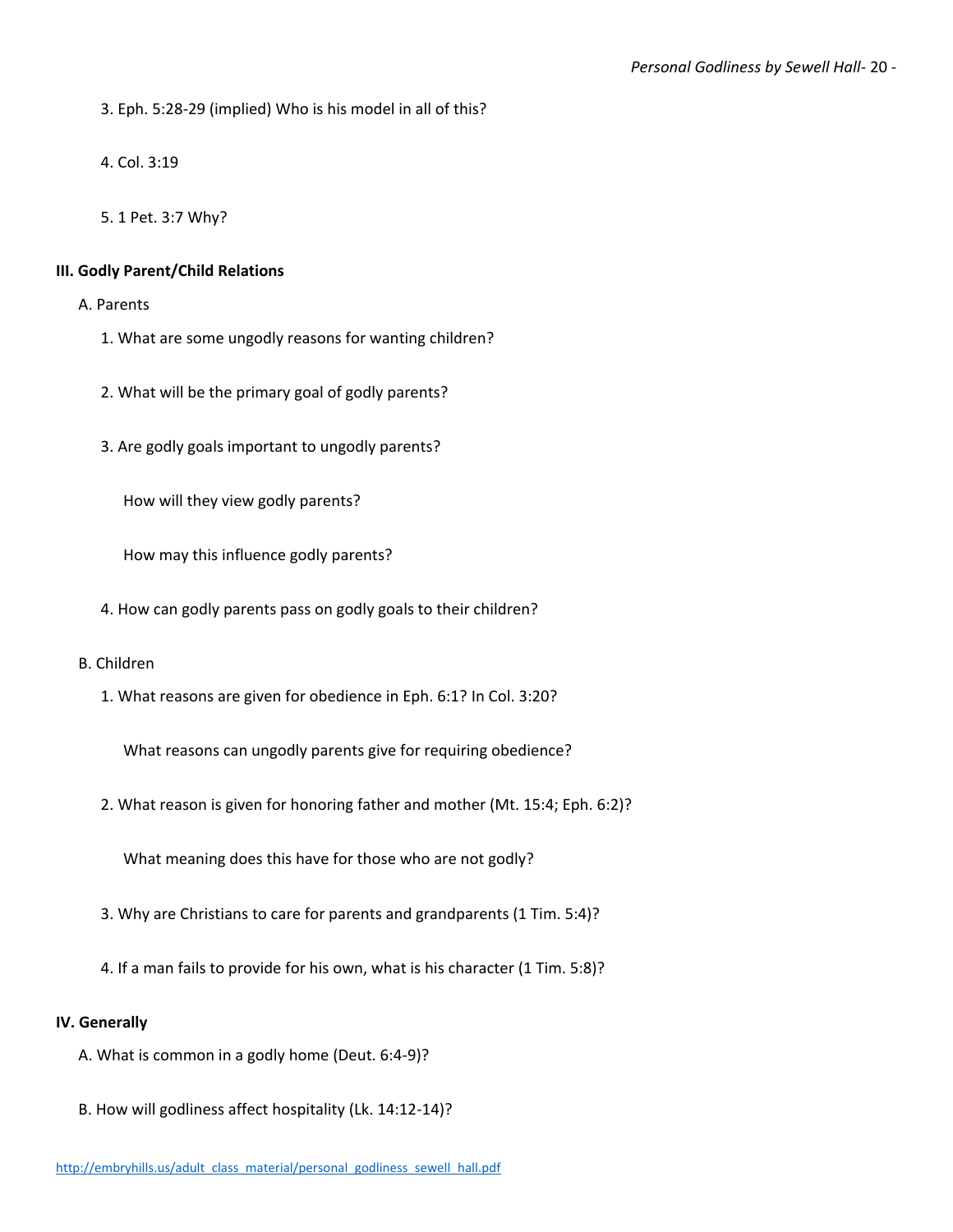3. Eph. 5:28-29 (implied) Who is his model in all of this?

4. Col. 3:19

5. 1 Pet. 3:7 Why?

#### **III. Godly Parent/Child Relations**

A. Parents

- 1. What are some ungodly reasons for wanting children?
- 2. What will be the primary goal of godly parents?
- 3. Are godly goals important to ungodly parents?

How will they view godly parents?

How may this influence godly parents?

4. How can godly parents pass on godly goals to their children?

#### B. Children

1. What reasons are given for obedience in Eph. 6:1? In Col. 3:20?

What reasons can ungodly parents give for requiring obedience?

2. What reason is given for honoring father and mother (Mt. 15:4; Eph. 6:2)?

What meaning does this have for those who are not godly?

- 3. Why are Christians to care for parents and grandparents (1 Tim. 5:4)?
- 4. If a man fails to provide for his own, what is his character (1 Tim. 5:8)?

#### **IV. Generally**

- A. What is common in a godly home (Deut. 6:4-9)?
- B. How will godliness affect hospitality (Lk. 14:12-14)?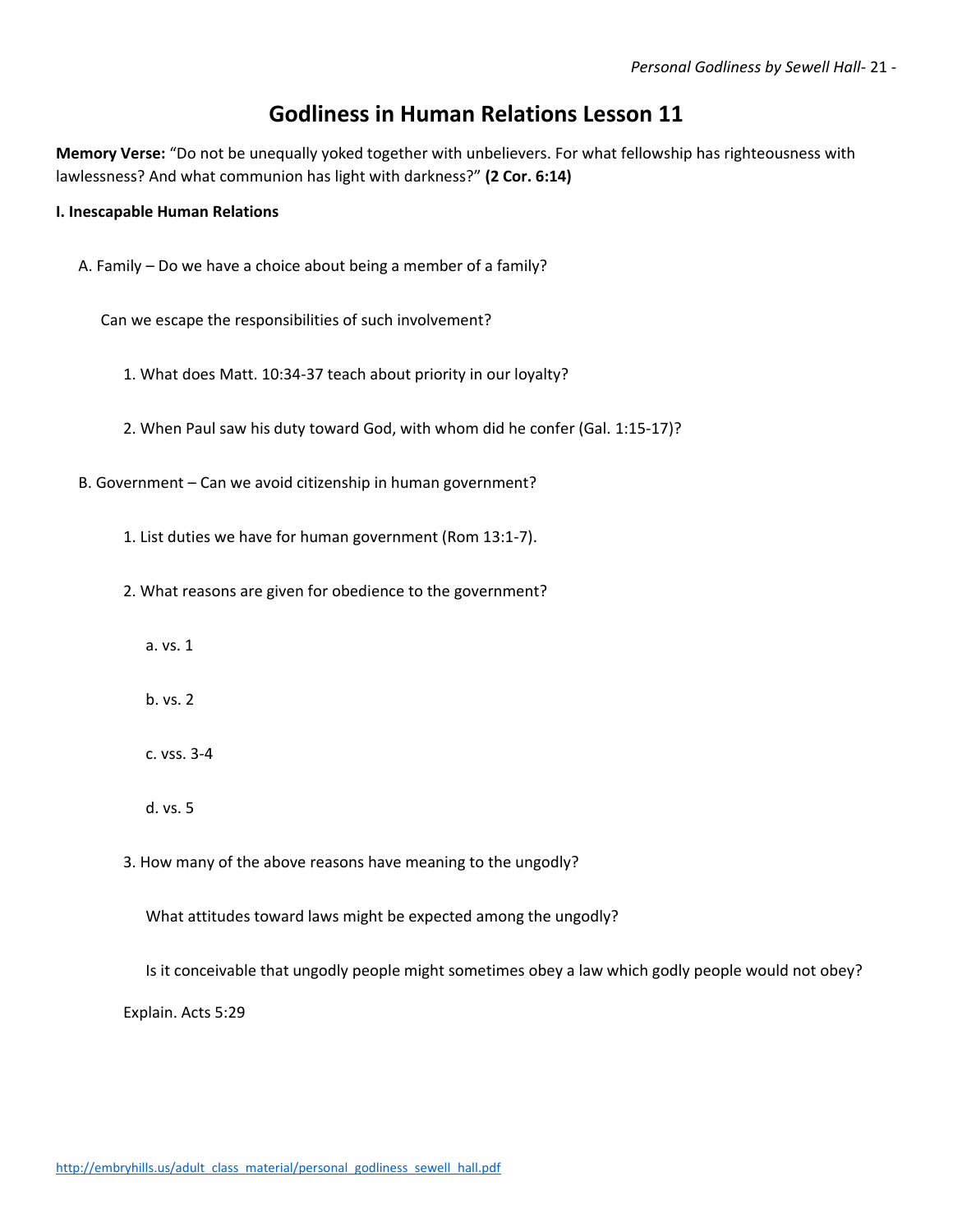# **Godliness in Human Relations Lesson 11**

**Memory Verse:** "Do not be unequally yoked together with unbelievers. For what fellowship has righteousness with lawlessness? And what communion has light with darkness?" **(2 Cor. 6:14)**

#### **I. Inescapable Human Relations**

A. Family – Do we have a choice about being a member of a family?

Can we escape the responsibilities of such involvement?

- 1. What does Matt. 10:34-37 teach about priority in our loyalty?
- 2. When Paul saw his duty toward God, with whom did he confer (Gal. 1:15-17)?
- B. Government Can we avoid citizenship in human government?
	- 1. List duties we have for human government (Rom 13:1-7).
	- 2. What reasons are given for obedience to the government?
		- a. vs. 1
		- b. vs. 2
		- c. vss. 3-4
		- d. vs. 5
	- 3. How many of the above reasons have meaning to the ungodly?

What attitudes toward laws might be expected among the ungodly?

Is it conceivable that ungodly people might sometimes obey a law which godly people would not obey? Explain. Acts 5:29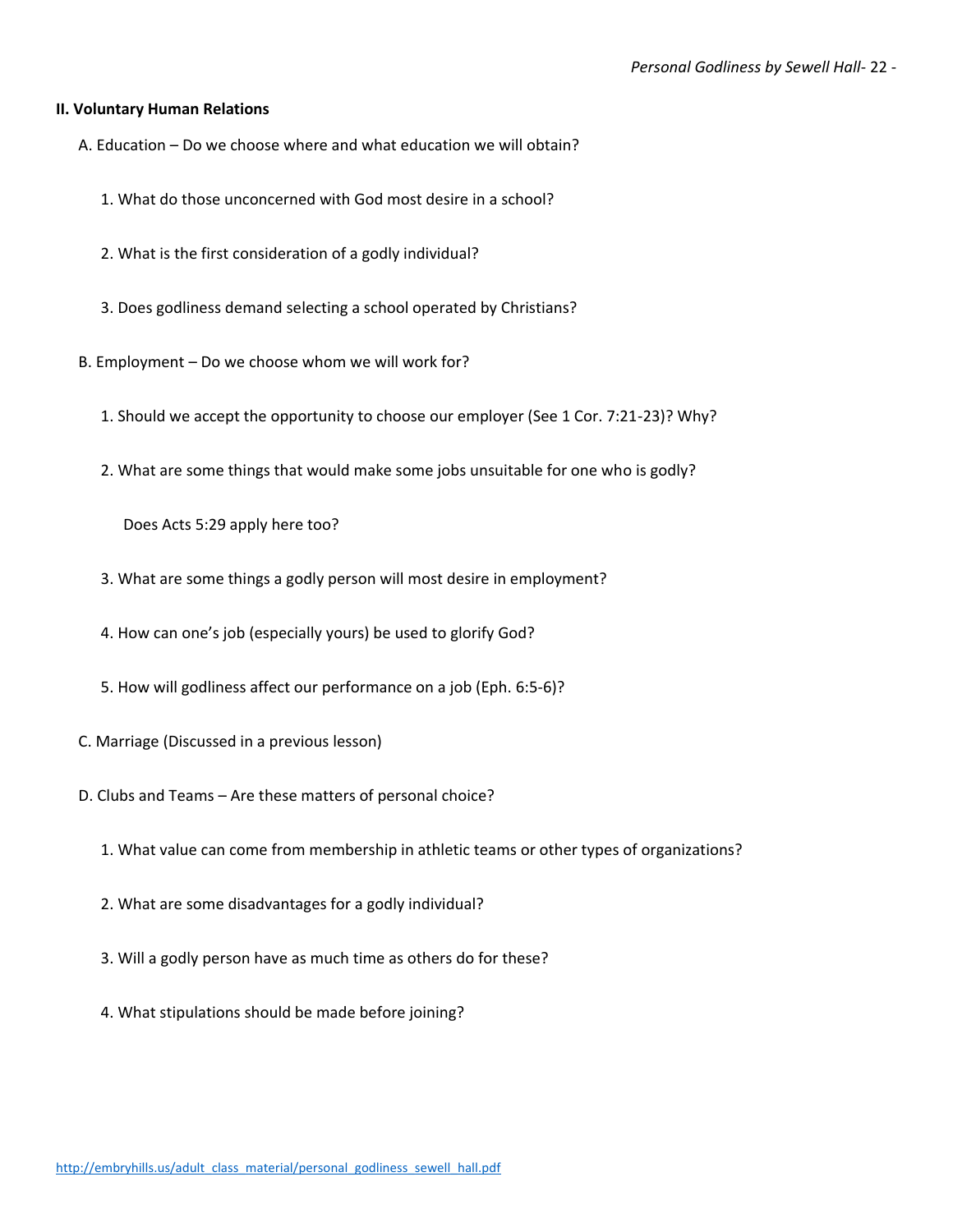#### **II. Voluntary Human Relations**

- A. Education Do we choose where and what education we will obtain?
	- 1. What do those unconcerned with God most desire in a school?
	- 2. What is the first consideration of a godly individual?
	- 3. Does godliness demand selecting a school operated by Christians?
- B. Employment Do we choose whom we will work for?
	- 1. Should we accept the opportunity to choose our employer (See 1 Cor. 7:21-23)? Why?
	- 2. What are some things that would make some jobs unsuitable for one who is godly?

Does Acts 5:29 apply here too?

- 3. What are some things a godly person will most desire in employment?
- 4. How can one's job (especially yours) be used to glorify God?
- 5. How will godliness affect our performance on a job (Eph. 6:5-6)?
- C. Marriage (Discussed in a previous lesson)
- D. Clubs and Teams Are these matters of personal choice?
	- 1. What value can come from membership in athletic teams or other types of organizations?
	- 2. What are some disadvantages for a godly individual?
	- 3. Will a godly person have as much time as others do for these?
	- 4. What stipulations should be made before joining?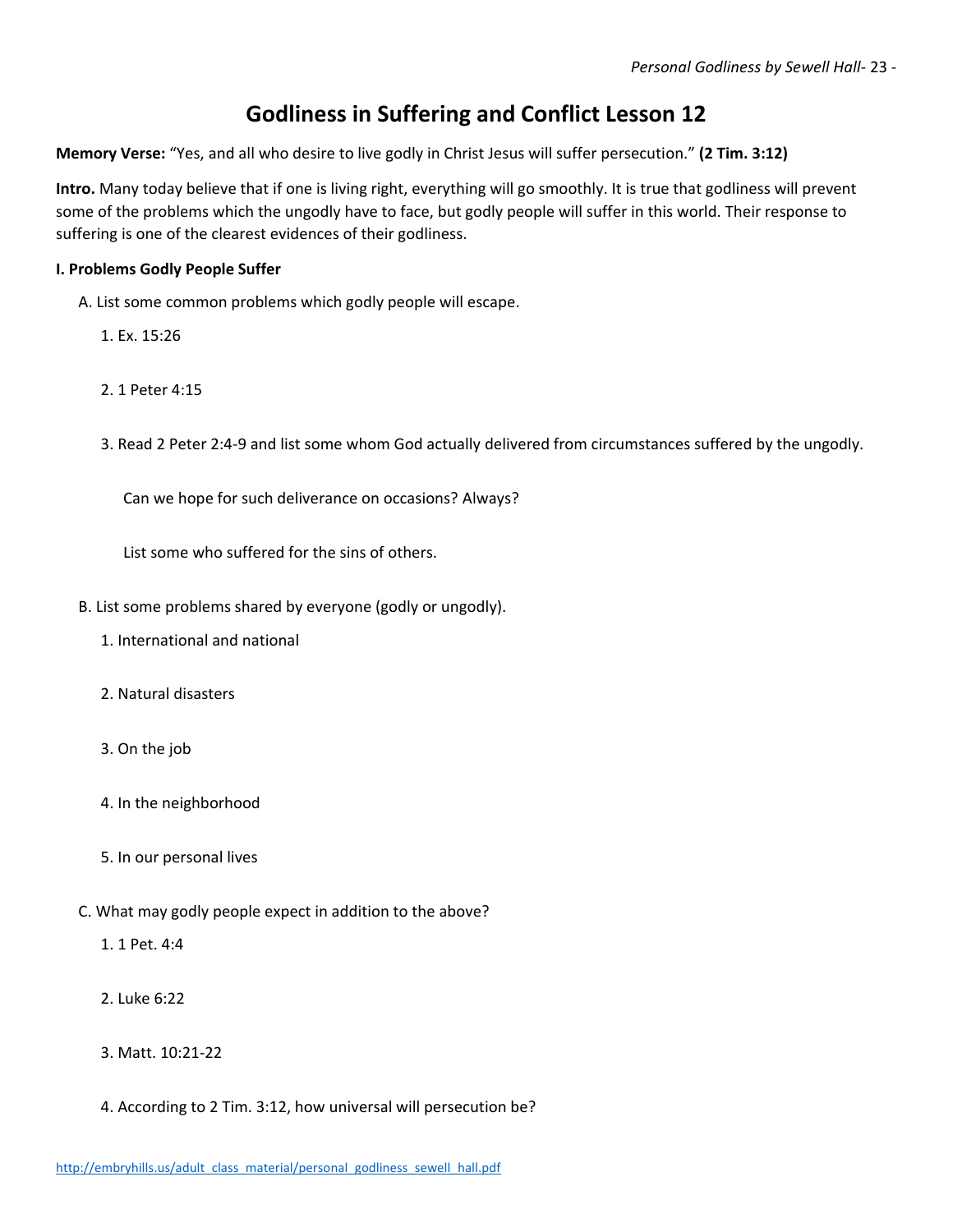# **Godliness in Suffering and Conflict Lesson 12**

**Memory Verse:** "Yes, and all who desire to live godly in Christ Jesus will suffer persecution." **(2 Tim. 3:12)**

**Intro.** Many today believe that if one is living right, everything will go smoothly. It is true that godliness will prevent some of the problems which the ungodly have to face, but godly people will suffer in this world. Their response to suffering is one of the clearest evidences of their godliness.

#### **I. Problems Godly People Suffer**

- A. List some common problems which godly people will escape.
	- 1. Ex. 15:26
	- 2. 1 Peter 4:15
	- 3. Read 2 Peter 2:4-9 and list some whom God actually delivered from circumstances suffered by the ungodly.

Can we hope for such deliverance on occasions? Always?

List some who suffered for the sins of others.

- B. List some problems shared by everyone (godly or ungodly).
	- 1. International and national
	- 2. Natural disasters
	- 3. On the job
	- 4. In the neighborhood
	- 5. In our personal lives
- C. What may godly people expect in addition to the above?
	- 1. 1 Pet. 4:4
	- 2. Luke 6:22
	- 3. Matt. 10:21-22
	- 4. According to 2 Tim. 3:12, how universal will persecution be?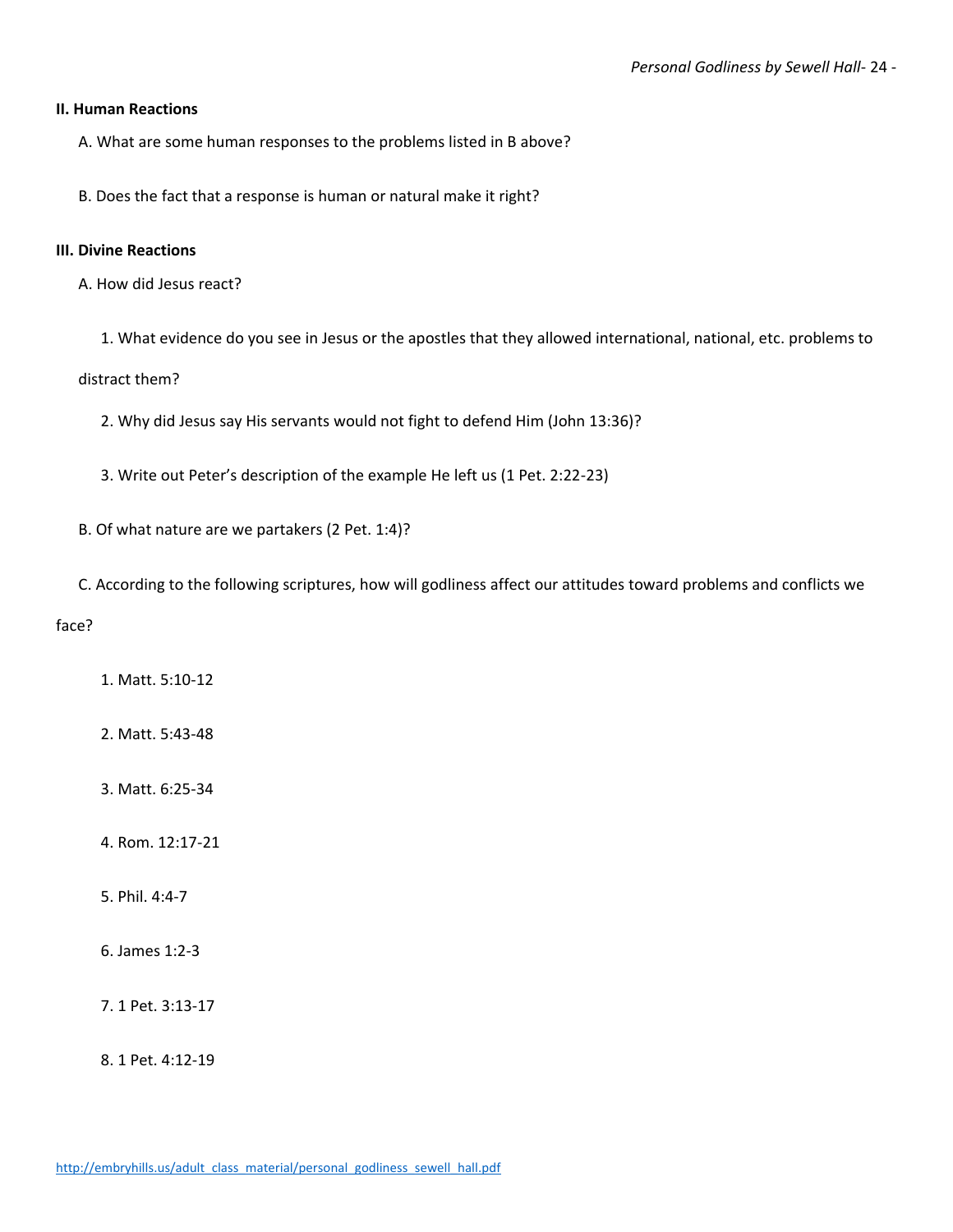#### **II. Human Reactions**

A. What are some human responses to the problems listed in B above?

B. Does the fact that a response is human or natural make it right?

#### **III. Divine Reactions**

- A. How did Jesus react?
	- 1. What evidence do you see in Jesus or the apostles that they allowed international, national, etc. problems to

#### distract them?

- 2. Why did Jesus say His servants would not fight to defend Him (John 13:36)?
- 3. Write out Peter's description of the example He left us (1 Pet. 2:22-23)

B. Of what nature are we partakers (2 Pet. 1:4)?

C. According to the following scriptures, how will godliness affect our attitudes toward problems and conflicts we

#### face?

- 1. Matt. 5:10-12
- 2. Matt. 5:43-48
- 3. Matt. 6:25-34
- 4. Rom. 12:17-21
- 5. Phil. 4:4-7
- 6. James 1:2-3
- 7. 1 Pet. 3:13-17
- 8. 1 Pet. 4:12-19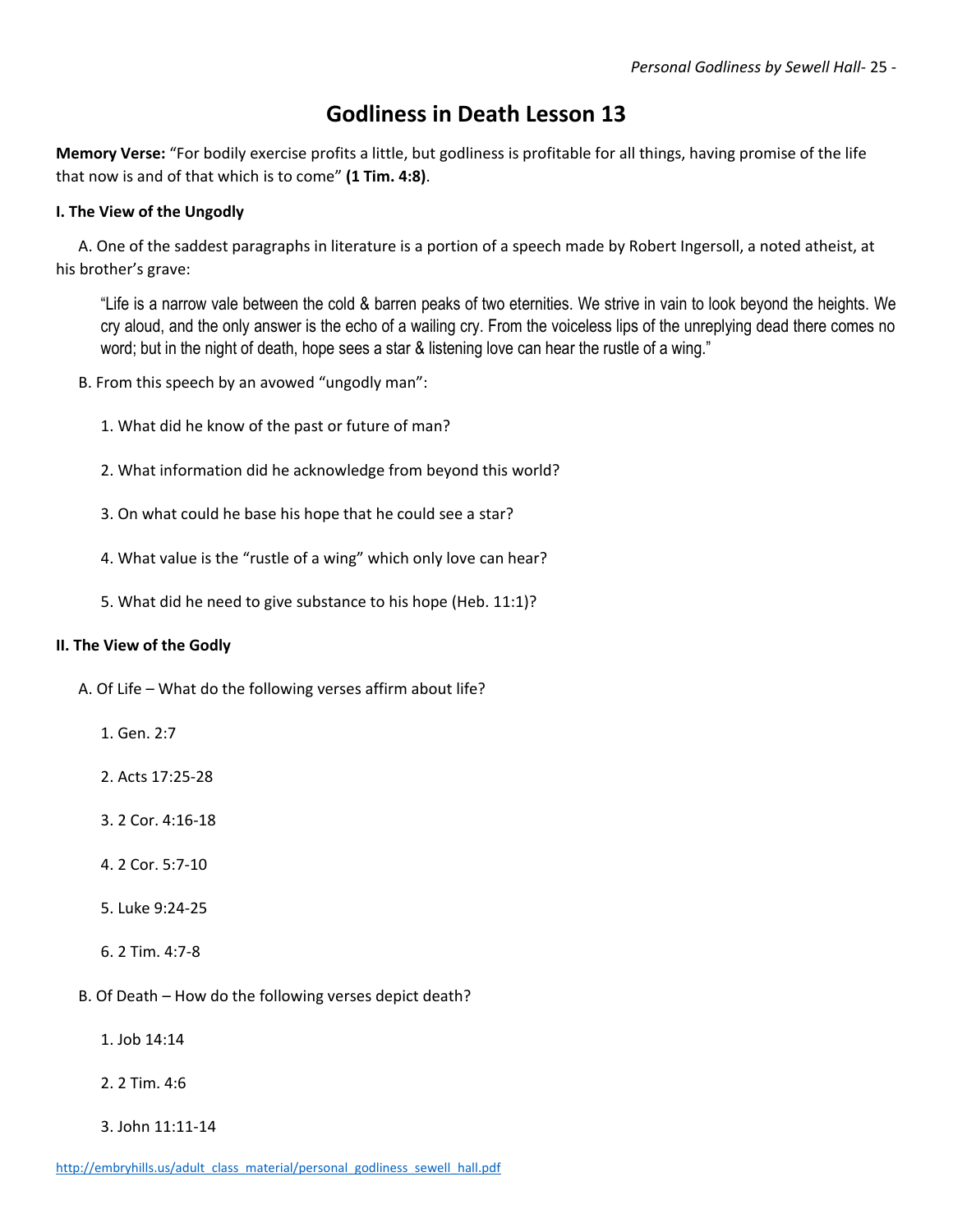# **Godliness in Death Lesson 13**

**Memory Verse:** "For bodily exercise profits a little, but godliness is profitable for all things, having promise of the life that now is and of that which is to come" **(1 Tim. 4:8)**.

#### **I. The View of the Ungodly**

A. One of the saddest paragraphs in literature is a portion of a speech made by Robert Ingersoll, a noted atheist, at his brother's grave:

"Life is a narrow vale between the cold & barren peaks of two eternities. We strive in vain to look beyond the heights. We cry aloud, and the only answer is the echo of a wailing cry. From the voiceless lips of the unreplying dead there comes no word; but in the night of death, hope sees a star & listening love can hear the rustle of a wing."

- B. From this speech by an avowed "ungodly man":
	- 1. What did he know of the past or future of man?
	- 2. What information did he acknowledge from beyond this world?
	- 3. On what could he base his hope that he could see a star?
	- 4. What value is the "rustle of a wing" which only love can hear?
	- 5. What did he need to give substance to his hope (Heb. 11:1)?

#### **II. The View of the Godly**

- A. Of Life What do the following verses affirm about life?
	- 1. Gen. 2:7
	- 2. Acts 17:25-28
	- 3. 2 Cor. 4:16-18
	- 4. 2 Cor. 5:7-10
	- 5. Luke 9:24-25
	- 6. 2 Tim. 4:7-8
- B. Of Death How do the following verses depict death?
	- 1. Job 14:14
	- 2. 2 Tim. 4:6
	- 3. John 11:11-14